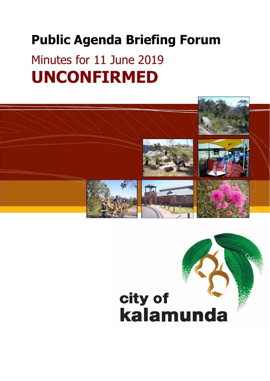# **Public Agenda Briefing Forum**

# Minutes for 11 June 2019 **UNCONFIRMED**



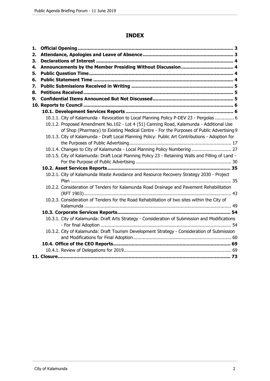# **INDEX**

| 1. |                                                                                                   |  |
|----|---------------------------------------------------------------------------------------------------|--|
| 2. |                                                                                                   |  |
| 3. |                                                                                                   |  |
| 4. |                                                                                                   |  |
| 5. |                                                                                                   |  |
| 6. |                                                                                                   |  |
| 7. |                                                                                                   |  |
| 8. |                                                                                                   |  |
| 9. |                                                                                                   |  |
|    |                                                                                                   |  |
|    |                                                                                                   |  |
|    | 10.1.1. City of Kalamunda - Revocation to Local Planning Policy P-DEV 23 - Pergolas  6            |  |
|    | 10.1.2. Proposed Amendment No.102 - Lot 4 (51) Canning Road, Kalamunda - Additional Use           |  |
|    | of Shop (Pharmacy) to Existing Medical Centre - For the Purposes of Public Advertising 9          |  |
|    | 10.1.3. City of Kalamunda - Draft Local Planning Policy: Public Art Contributions - Adoption for  |  |
|    |                                                                                                   |  |
|    | 10.1.4. Changes to City of Kalamunda - Local Planning Policy Numbering  27                        |  |
|    | 10.1.5. City of Kalamunda: Draft Local Planning Policy 23 - Retaining Walls and Filling of Land - |  |
|    |                                                                                                   |  |
|    |                                                                                                   |  |
|    | 10.2.1. City of Kalamunda Waste Avoidance and Resource Recovery Strategy 2030 - Project           |  |
|    |                                                                                                   |  |
|    | 10.2.2. Consideration of Tenders for Kalamunda Road Drainage and Pavement Rehabilitation          |  |
|    |                                                                                                   |  |
|    | 10.2.3. Consideration of Tenders for the Road Rehabilitation of two sites within the City of      |  |
|    |                                                                                                   |  |
|    |                                                                                                   |  |
|    | 10.3.1. City of Kalamunda: Draft Arts Strategy - Consideration of Submission and Modifications    |  |
|    |                                                                                                   |  |
|    | 10.3.2. City of Kalamunda: Draft Tourism Development Strategy - Consideration of Submission       |  |
|    |                                                                                                   |  |
|    |                                                                                                   |  |
|    |                                                                                                   |  |
|    |                                                                                                   |  |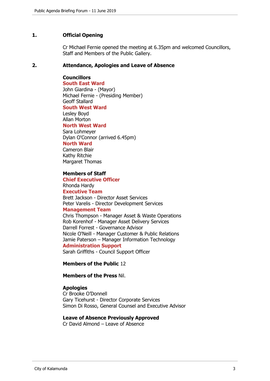## **1. Official Opening**

Cr Michael Fernie opened the meeting at 6.35pm and welcomed Councillors, Staff and Members of the Public Gallery.

#### **2. Attendance, Apologies and Leave of Absence**

## **Councillors**

**South East Ward**  John Giardina - (Mayor) Michael Fernie - (Presiding Member) Geoff Stallard **South West Ward** Lesley Boyd Allan Morton **North West Ward** Sara Lohmeyer Dylan O'Connor (arrived 6.45pm)

# **North Ward**

Cameron Blair Kathy Ritchie Margaret Thomas

## **Members of Staff**

**Chief Executive Officer** Rhonda Hardy **Executive Team** Brett Jackson - Director Asset Services Peter Varelis - Director Development Services **Management Team** Chris Thompson - Manager Asset & Waste Operations Rob Korenhof - Manager Asset Delivery Services Darrell Forrest - Governance Advisor Nicole O'Neill - Manager Customer & Public Relations Jamie Paterson – Manager Information Technology **Administration Support**

Sarah Griffiths - Council Support Officer

## **Members of the Public** 12

## **Members of the Press** Nil.

## **Apologies**

Cr Brooke O'Donnell Gary Ticehurst - Director Corporate Services Simon Di Rosso, General Counsel and Executive Advisor

#### **Leave of Absence Previously Approved**

Cr David Almond – Leave of Absence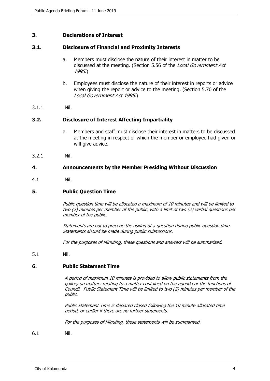## **3. Declarations of Interest**

#### **3.1. Disclosure of Financial and Proximity Interests**

- a. Members must disclose the nature of their interest in matter to be discussed at the meeting. (Section 5.56 of the *Local Government Act* 1995.)
- b. Employees must disclose the nature of their interest in reports or advice when giving the report or advice to the meeting. (Section 5.70 of the Local Government Act 1995.)
- 3.1.1 Nil.

#### **3.2. Disclosure of Interest Affecting Impartiality**

- a. Members and staff must disclose their interest in matters to be discussed at the meeting in respect of which the member or employee had given or will give advice.
- 3.2.1 Nil.

#### **4. Announcements by the Member Presiding Without Discussion**

4.1 Nil.

#### **5. Public Question Time**

Public question time will be allocated a maximum of 10 minutes and will be limited to two (2) minutes per member of the public, with a limit of two (2) verbal questions per member of the public.

Statements are not to precede the asking of a question during public question time. Statements should be made during public submissions.

For the purposes of Minuting, these questions and answers will be summarised.

5.1 Nil.

#### **6. Public Statement Time**

A period of maximum 10 minutes is provided to allow public statements from the gallery on matters relating to a matter contained on the agenda or the functions of Council. Public Statement Time will be limited to two (2) minutes per member of the public.

Public Statement Time is declared closed following the 10 minute allocated time period, or earlier if there are no further statements.

For the purposes of Minuting, these statements will be summarised.

6.1 Nil.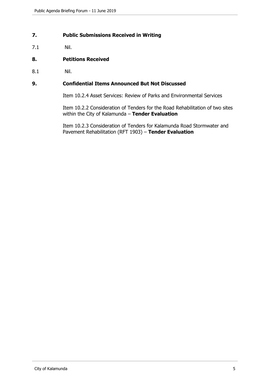# **7. Public Submissions Received in Writing**

7.1 Nil.

# **8. Petitions Received**

8.1 Nil.

## **9. Confidential Items Announced But Not Discussed**

Item 10.2.4 Asset Services: Review of Parks and Environmental Services

Item 10.2.2 Consideration of Tenders for the Road Rehabilitation of two sites within the City of Kalamunda – **Tender Evaluation**

Item 10.2.3 Consideration of Tenders for Kalamunda Road Stormwater and Pavement Rehabilitation (RFT 1903) – **Tender Evaluation**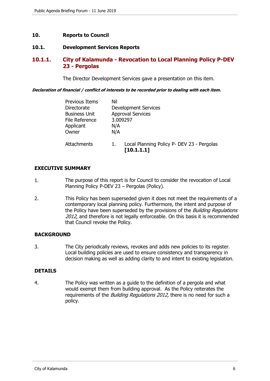## **10. Reports to Council**

## **10.1. Development Services Reports**

# **10.1.1. City of Kalamunda - Revocation to Local Planning Policy P-DEV 23 - Pergolas**

The Director Development Services gave a presentation on this item.

#### **Declaration of financial / conflict of interests to be recorded prior to dealing with each item.**

| <b>Previous Items</b><br>Directorate<br><b>Business Unit</b><br>File Reference<br>Applicant<br>Owner | Nil<br>3.009297<br>N/A<br>N/A | <b>Development Services</b><br><b>Approval Services</b>  |
|------------------------------------------------------------------------------------------------------|-------------------------------|----------------------------------------------------------|
| Attachments                                                                                          |                               | Local Planning Policy P- DEV 23 - Pergolas<br>[10.1.1.1] |

## **EXECUTIVE SUMMARY**

- 1. The purpose of this report is for Council to consider the revocation of Local Planning Policy P-DEV 23 – Pergolas (Policy).
- 2. This Policy has been superseded given it does not meet the requirements of a contemporary local planning policy. Furthermore, the intent and purpose of the Policy have been superseded by the provisions of the *Building Regulations* 2012, and therefore is not legally enforceable. On this basis it is recommended that Council revoke the Policy.

## **BACKGROUND**

3. The City periodically reviews, revokes and adds new policies to its register. Local building policies are used to ensure consistency and transparency in decision making as well as adding clarity to and intent to existing legislation.

## **DETAILS**

4. The Policy was written as a guide to the definition of a pergola and what would exempt them from building approval. As the Policy reiterates the requirements of the *Building Regulations 2012*, there is no need for such a policy.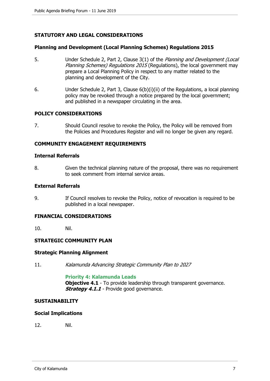# **STATUTORY AND LEGAL CONSIDERATIONS**

#### **Planning and Development (Local Planning Schemes) Regulations 2015**

- 5. Under Schedule 2, Part 2, Clause 3(1) of the *Planning and Development (Local* Planning Schemes) Regulations 2015 (Regulations), the local government may prepare a Local Planning Policy in respect to any matter related to the planning and development of the City.
- 6. Under Schedule 2, Part 3, Clause 6(b)(i)(ii) of the Regulations, a local planning policy may be revoked through a notice prepared by the local government; and published in a newspaper circulating in the area.

#### **POLICY CONSIDERATIONS**

7. Should Council resolve to revoke the Policy, the Policy will be removed from the Policies and Procedures Register and will no longer be given any regard.

#### **COMMUNITY ENGAGEMENT REQUIREMENTS**

#### **Internal Referrals**

8. Given the technical planning nature of the proposal, there was no requirement to seek comment from internal service areas.

#### **External Referrals**

9. If Council resolves to revoke the Policy, notice of revocation is required to be published in a local newspaper.

## **FINANCIAL CONSIDERATIONS**

10. Nil.

## **STRATEGIC COMMUNITY PLAN**

#### **Strategic Planning Alignment**

11. Kalamunda Advancing Strategic Community Plan to 2027

#### **Priority 4: Kalamunda Leads**

**Objective 4.1** - To provide leadership through transparent governance. **Strategy 4.1.1** - Provide good governance.

#### **SUSTAINABILITY**

#### **Social Implications**

12. Nil.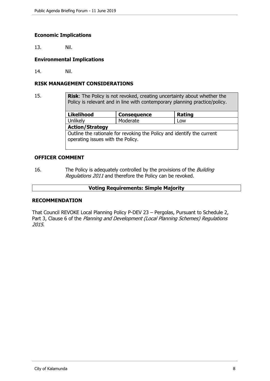## **Economic Implications**

13. Nil.

## **Environmental Implications**

14. Nil.

## **RISK MANAGEMENT CONSIDERATIONS**

15. **Risk**: The Policy is not revoked, creating uncertainty about whether the Policy is relevant and in line with contemporary planning practice/policy.

| <b>Likelihood</b>                                                                                           | <b>Consequence</b> | <b>Rating</b> |  |  |
|-------------------------------------------------------------------------------------------------------------|--------------------|---------------|--|--|
| Unlikely                                                                                                    | Moderate           | Low           |  |  |
| <b>Action/Strategy</b>                                                                                      |                    |               |  |  |
| Outline the rationale for revoking the Policy and identify the current<br>operating issues with the Policy. |                    |               |  |  |

## **OFFICER COMMENT**

16. The Policy is adequately controlled by the provisions of the *Building* Regulations 2011 and therefore the Policy can be revoked.

## **Voting Requirements: Simple Majority**

## **RECOMMENDATION**

That Council REVOKE Local Planning Policy P-DEV 23 – Pergolas, Pursuant to Schedule 2, Part 3, Clause 6 of the Planning and Development (Local Planning Schemes) Regulations 2015.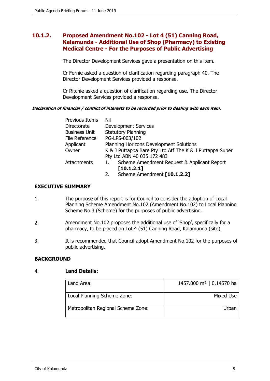# **10.1.2. Proposed Amendment No.102 - Lot 4 (51) Canning Road, Kalamunda - Additional Use of Shop (Pharmacy) to Existing Medical Centre - For the Purposes of Public Advertising**

The Director Development Services gave a presentation on this item.

Cr Fernie asked a question of clarification regarding paragraph 40. The Director Development Services provided a response.

Cr Ritchie asked a question of clarification regarding use. The Director Development Services provided a response.

## **Declaration of financial / conflict of interests to be recorded prior to dealing with each item.**

| Previous Items       | Nil                                                      |  |
|----------------------|----------------------------------------------------------|--|
| Directorate          | <b>Development Services</b>                              |  |
| <b>Business Unit</b> | <b>Statutory Planning</b>                                |  |
| File Reference       | PG-LPS-003/102                                           |  |
| Applicant            | Planning Horizons Development Solutions                  |  |
| Owner                | K & J Puttappa Bare Pty Ltd Atf The K & J Puttappa Super |  |
|                      | Pty Ltd ABN 40 035 172 483                               |  |
| <b>Attachments</b>   | Scheme Amendment Request & Applicant Report<br>1.        |  |
|                      | [10.1.2.1]                                               |  |
|                      | Schama Amandmant [10 1 2 2]                              |  |

## 2. Scheme Amendment **[10.1.2.2]**

# **EXECUTIVE SUMMARY**

- 1. The purpose of this report is for Council to consider the adoption of Local Planning Scheme Amendment No.102 (Amendment No.102) to Local Planning Scheme No.3 (Scheme) for the purposes of public advertising.
- 2. Amendment No.102 proposes the additional use of 'Shop', specifically for a pharmacy, to be placed on Lot 4 (51) Canning Road, Kalamunda (site).
- 3. It is recommended that Council adopt Amendment No.102 for the purposes of public advertising.

## **BACKGROUND**

## 4. **Land Details:**

| Land Area:                         | 1457.000 m <sup>2</sup>   0.14570 ha |
|------------------------------------|--------------------------------------|
| Local Planning Scheme Zone:        | Mixed Use                            |
| Metropolitan Regional Scheme Zone: | Urban                                |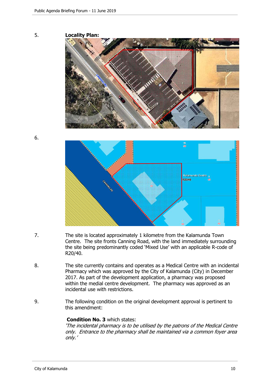

- 7. The site is located approximately 1 kilometre from the Kalamunda Town Centre. The site fronts Canning Road, with the land immediately surrounding the site being predominantly coded 'Mixed Use' with an applicable R-code of R20/40.
- 8. The site currently contains and operates as a Medical Centre with an incidental Pharmacy which was approved by the City of Kalamunda (City) in December 2017. As part of the development application, a pharmacy was proposed within the medial centre development. The pharmacy was approved as an incidental use with restrictions.
- 9. The following condition on the original development approval is pertinent to this amendment:

# **Condition No. 3** which states:

'The incidental pharmacy is to be utilised by the patrons of the Medical Centre only. Entrance to the pharmacy shall be maintained via a common foyer area only.'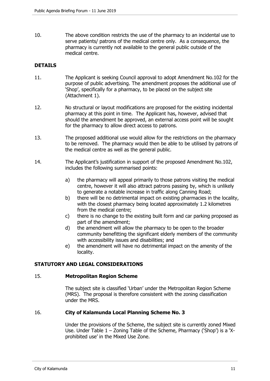10. The above condition restricts the use of the pharmacy to an incidental use to serve patients/ patrons of the medical centre only. As a consequence, the pharmacy is currently not available to the general public outside of the medical centre.

# **DETAILS**

- 11. The Applicant is seeking Council approval to adopt Amendment No.102 for the purpose of public advertising. The amendment proposes the additional use of 'Shop', specifically for a pharmacy, to be placed on the subject site (Attachment 1).
- 12. No structural or layout modifications are proposed for the existing incidental pharmacy at this point in time. The Applicant has, however, advised that should the amendment be approved, an external access point will be sought for the pharmacy to allow direct access to patrons.
- 13. The proposed additional use would allow for the restrictions on the pharmacy to be removed. The pharmacy would then be able to be utilised by patrons of the medical centre as well as the general public.
- 14. The Applicant's justification in support of the proposed Amendment No.102, includes the following summarised points:
	- a) the pharmacy will appeal primarily to those patrons visiting the medical centre, however it will also attract patrons passing by, which is unlikely to generate a notable increase in traffic along Canning Road;
	- b) there will be no detrimental impact on existing pharmacies in the locality, with the closest pharmacy being located approximately 1.2 kilometres from the medical centre;
	- c) there is no change to the existing built form and car parking proposed as part of the amendment;
	- d) the amendment will allow the pharmacy to be open to the broader community benefitting the significant elderly members of the community with accessibility issues and disabilities; and
	- e) the amendment will have no detrimental impact on the amenity of the locality.

# **STATUTORY AND LEGAL CONSIDERATIONS**

## 15. **Metropolitan Region Scheme**

The subject site is classified 'Urban' under the Metropolitan Region Scheme (MRS). The proposal is therefore consistent with the zoning classification under the MRS.

## 16. **City of Kalamunda Local Planning Scheme No. 3**

Under the provisions of the Scheme, the subject site is currently zoned Mixed Use. Under Table 1 – Zoning Table of the Scheme, Pharmacy ('Shop') is a 'Xprohibited use' in the Mixed Use Zone.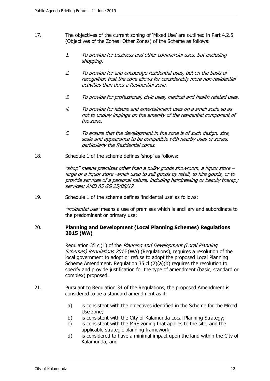- 17. The objectives of the current zoning of 'Mixed Use' are outlined in Part 4.2.5 (Objectives of the Zones: Other Zones) of the Scheme as follows:
	- 1. To provide for business and other commercial uses, but excluding shopping.
	- 2. To provide for and encourage residential uses, but on the basis of recognition that the zone allows for considerably more non-residential activities than does a Residential zone.
	- 3. To provide for professional, civic uses, medical and health related uses.
	- 4. To provide for leisure and entertainment uses on a small scale so as not to unduly impinge on the amenity of the residential component of the zone.
	- 5. To ensure that the development in the zone is of such design, size, scale and appearance to be compatible with nearby uses or zones, particularly the Residential zones.
- 18. Schedule 1 of the scheme defines 'shop' as follows:

"shop" means premises other than a bulky goods showroom, a liquor store – large or a liquor store –small used to sell goods by retail, to hire goods, or to provide services of a personal nature, including hairdressing or beauty therapy services; AMD 85 GG 25/08/17.

19. Schedule 1 of the scheme defines 'incidental use' as follows:

"*incidental use*" means a use of premises which is ancillary and subordinate to the predominant or primary use;

## 20. **Planning and Development (Local Planning Schemes) Regulations 2015 (WA)**

Regulation 35 cl(1) of the Planning and Development (Local Planning Schemes) Regulations 2015 (WA) (Regulations), requires a resolution of the local government to adopt or refuse to adopt the proposed Local Planning Scheme Amendment. Regulation 35 cl (2)(a)(b) requires the resolution to specify and provide justification for the type of amendment (basic, standard or complex) proposed.

- 21. Pursuant to Regulation 34 of the Regulations, the proposed Amendment is considered to be a standard amendment as it:
	- a) is consistent with the objectives identified in the Scheme for the Mixed Use zone;
	- b) is consistent with the City of Kalamunda Local Planning Strategy;
	- c) is consistent with the MRS zoning that applies to the site, and the applicable strategic planning framework;
	- d) is considered to have a minimal impact upon the land within the City of Kalamunda; and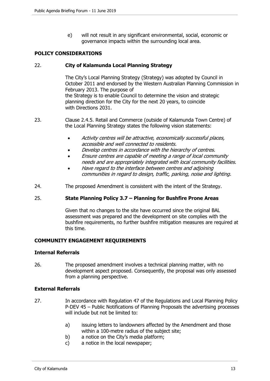e) will not result in any significant environmental, social, economic or governance impacts within the surrounding local area.

# **POLICY CONSIDERATIONS**

## 22. **City of Kalamunda Local Planning Strategy**

The City's Local Planning Strategy (Strategy) was adopted by Council in October 2011 and endorsed by the Western Australian Planning Commission in February 2013. The purpose of the Strategy is to enable Council to determine the vision and strategic planning direction for the City for the next 20 years, to coincide with Directions 2031.

- 23. Clause 2.4.5. Retail and Commerce (outside of Kalamunda Town Centre) of the Local Planning Strategy states the following vision statements:
	- Activity centres will be attractive, economically successful places, accessible and well connected to residents.
	- Develop centres in accordance with the hierarchy of centres.
	- Ensure centres are capable of meeting a range of local community needs and are appropriately integrated with local community facilities.
	- Have regard to the interface between centres and adjoining communities in regard to design, traffic, parking, noise and lighting.
- 24. The proposed Amendment is consistent with the intent of the Strategy.

## 25. **State Planning Policy 3.7 – Planning for Bushfire Prone Areas**

Given that no changes to the site have occurred since the original BAL assessment was prepared and the development on site complies with the bushfire requirements, no further bushfire mitigation measures are required at this time.

## **COMMUNITY ENGAGEMENT REQUIREMENTS**

## **Internal Referrals**

26. The proposed amendment involves a technical planning matter, with no development aspect proposed. Consequently, the proposal was only assessed from a planning perspective.

## **External Referrals**

- 27. In accordance with Regulation 47 of the Regulations and Local Planning Policy P-DEV 45 – Public Notifications of Planning Proposals the advertising processes will include but not be limited to:
	- a) issuing letters to landowners affected by the Amendment and those within a 100-metre radius of the subject site;
	- b) a notice on the City's media platform;
	- c) a notice in the local newspaper;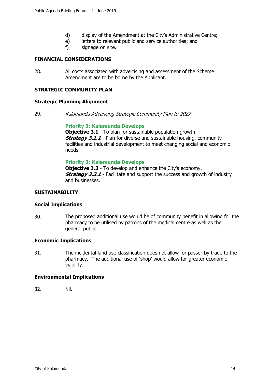- d) display of the Amendment at the City's Administrative Centre;
- e) letters to relevant public and service authorities; and
- f) signage on site.

## **FINANCIAL CONSIDERATIONS**

28. All costs associated with advertising and assessment of the Scheme Amendment are to be borne by the Applicant.

## **STRATEGIC COMMUNITY PLAN**

#### **Strategic Planning Alignment**

29. Kalamunda Advancing Strategic Community Plan to 2027

#### **Priority 3: Kalamunda Develops**

**Objective 3.1** - To plan for sustainable population growth. **Strategy 3.1.1** - Plan for diverse and sustainable housing, community facilities and industrial development to meet changing social and economic needs.

## **Priority 3: Kalamunda Develops**

**Objective 3.3** - To develop and enhance the City's economy. **Strategy 3.3.1** - Facilitate and support the success and growth of industry and businesses.

#### **SUSTAINABILITY**

#### **Social Implications**

30. The proposed additional use would be of community benefit in allowing for the pharmacy to be utilised by patrons of the medical centre as well as the general public.

#### **Economic Implications**

31. The incidental land use classification does not allow for passer-by trade to the pharmacy. The additional use of 'shop' would allow for greater economic viability.

## **Environmental Implications**

32. Nil.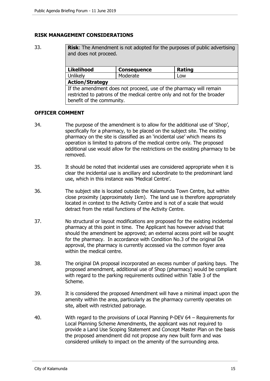## **RISK MANAGEMENT CONSIDERATIONS**

33. **Risk**: The Amendment is not adopted for the purposes of public advertising and does not proceed. Likelihood **Consequence** Rating Unlikely Moderate Low **Action/Strategy** 

If the amendment does not proceed, use of the pharmacy will remain restricted to patrons of the medical centre only and not for the broader benefit of the community.

#### **OFFICER COMMENT**

- 34. The purpose of the amendment is to allow for the additional use of 'Shop', specifically for a pharmacy, to be placed on the subject site. The existing pharmacy on the site is classified as an 'incidental use' which means its operation is limited to patrons of the medical centre only. The proposed additional use would allow for the restrictions on the existing pharmacy to be removed.
- 35. It should be noted that incidental uses are considered appropriate when it is clear the incidental use is ancillary and subordinate to the predominant land use, which in this instance was 'Medical Centre'.
- 36. The subject site is located outside the Kalamunda Town Centre, but within close proximity (approximately 1km). The land use is therefore appropriately located in context to the Activity Centre and is not of a scale that would detract from the retail functions of the Activity Centre.
- 37. No structural or layout modifications are proposed for the existing incidental pharmacy at this point in time. The Applicant has however advised that should the amendment be approved; an external access point will be sought for the pharmacy. In accordance with Condition No.3 of the original DA approval, the pharmacy is currently accessed via the common foyer area within the medical centre.
- 38. The original DA proposal incorporated an excess number of parking bays. The proposed amendment, additional use of Shop (pharmacy) would be compliant with regard to the parking requirements outlined within Table 3 of the Scheme.
- 39. It is considered the proposed Amendment will have a minimal impact upon the amenity within the area, particularly as the pharmacy currently operates on site, albeit with restricted patronage.
- 40. With regard to the provisions of Local Planning P-DEV 64 Requirements for Local Planning Scheme Amendments, the applicant was not required to provide a Land Use Scoping Statement and Concept Master Plan on the basis the proposed amendment did not propose any new built form and was considered unlikely to impact on the amenity of the surrounding area.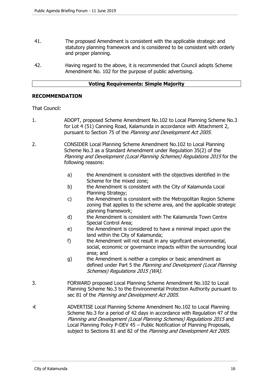- 41. The proposed Amendment is consistent with the applicable strategic and statutory planning framework and is considered to be consistent with orderly and proper planning.
- 42. Having regard to the above, it is recommended that Council adopts Scheme Amendment No. 102 for the purpose of public advertising.

## **Voting Requirements: Simple Majority**

## **RECOMMENDATION**

That Council:

- 1. ADOPT, proposed Scheme Amendment No.102 to Local Planning Scheme No.3 for Lot 4 (51) Canning Road, Kalamunda in accordance with Attachment 2, pursuant to Section 75 of the Planning and Development Act 2005.
- 2. CONSIDER Local Planning Scheme Amendment No.102 to Local Planning Scheme No.3 as a Standard Amendment under Regulation 35(2) of the Planning and Development (Local Planning Schemes) Regulations 2015 for the following reasons:
	- a) the Amendment is consistent with the objectives identified in the Scheme for the mixed zone;
	- b) the Amendment is consistent with the City of Kalamunda Local Planning Strategy;
	- c) the Amendment is consistent with the Metropolitan Region Scheme zoning that applies to the scheme area, and the applicable strategic planning framework;
	- d) the Amendment is consistent with The Kalamunda Town Centre Special Control Area;
	- e) the Amendment is considered to have a minimal impact upon the land within the City of Kalamunda;
	- f) the Amendment will not result in any significant environmental, social, economic or governance impacts within the surrounding local area; and
	- g) the Amendment is neither a complex or basic amendment as defined under Part 5 the Planning and Development (Local Planning Schemes) Regulations 2015 (WA).
- 3. FORWARD proposed Local Planning Scheme Amendment No.102 to Local Planning Scheme No.3 to the Environmental Protection Authority pursuant to sec 81 of the Planning and Development Act 2005.
- 4. ADVERTISE Local Planning Scheme Amendment No.102 to Local Planning Scheme No.3 for a period of 42 days in accordance with Regulation 47 of the Planning and Development (Local Planning Schemes) Regulations 2015 and Local Planning Policy P-DEV 45 – Public Notification of Planning Proposals, subject to Sections 81 and 82 of the Planning and Development Act 2005.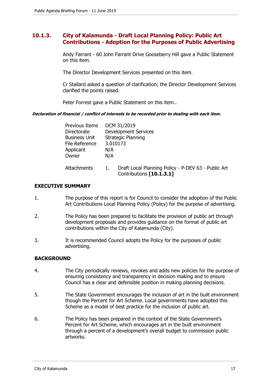# **10.1.3. City of Kalamunda - Draft Local Planning Policy: Public Art Contributions - Adoption for the Purposes of Public Advertising**

Andy Farrant - 60 John Farrant Drive Gooseberry Hill gave a Public Statement on this item.

The Director Development Services presented on this item.

Cr Stallard asked a question of clarification; the Director Development Services clarified the points raised.

Peter Forrest gave a Public Statement on this item..

**Declaration of financial / conflict of interests to be recorded prior to dealing with each item.** 

| Previous Items       | OCM 31/2019                                                                     |
|----------------------|---------------------------------------------------------------------------------|
| Directorate          | <b>Development Services</b>                                                     |
| <b>Business Unit</b> | <b>Strategic Planning</b>                                                       |
| File Reference       | 3.010173                                                                        |
| Applicant            | N/A                                                                             |
| Owner                | N/A                                                                             |
| Attachments          | Draft Local Planning Policy - P-DEV 63 - Public Art<br>Contributions [10.1.3.1] |

# **EXECUTIVE SUMMARY**

- 1. The purpose of this report is for Council to consider the adoption of the Public Art Contributions Local Planning Policy (Policy) for the purpose of advertising.
- 2. The Policy has been prepared to facilitate the provision of public art through development proposals and provides guidance on the format of public art contributions within the City of Kalamunda (City).
- 3. It is recommended Council adopts the Policy for the purposes of public advertising.

# **BACKGROUND**

- 4. The City periodically reviews, revokes and adds new policies for the purpose of ensuring consistency and transparency in decision making and to ensure Council has a clear and defensible position in making planning decisions.
- 5. The State Government encourages the inclusion of art in the built environment though the Percent for Art Scheme. Local governments have adopted this Scheme as a model of best practice for the inclusion of public art.
- 6. The Policy has been prepared in the context of the State Government's Percent for Art Scheme, which encourages art in the built environment through a percent of a development's overall budget to commission public artworks.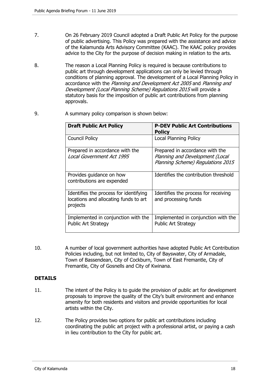- 7. On 26 February 2019 Council adopted a Draft Public Art Policy for the purpose of public advertising. This Policy was prepared with the assistance and advice of the Kalamunda Arts Advisory Committee (KAAC). The KAAC policy provides advice to the City for the purpose of decision making in relation to the arts.
- 8. The reason a Local Planning Policy is required is because contributions to public art through development applications can only be levied through conditions of planning approval. The development of a Local Planning Policy in accordance with the Planning and Development Act 2005 and Planning and Development (Local Planning Scheme) Regulations 2015 will provide a statutory basis for the imposition of public art contributions from planning approvals.
- 9. A summary policy comparison is shown below:

| <b>Draft Public Art Policy</b>                                                              | <b>P-DEV Public Art Contributions</b><br><b>Policy</b>                                                  |
|---------------------------------------------------------------------------------------------|---------------------------------------------------------------------------------------------------------|
| <b>Council Policy</b>                                                                       | <b>Local Planning Policy</b>                                                                            |
| Prepared in accordance with the<br>Local Government Act 1995                                | Prepared in accordance with the<br>Planning and Development (Local<br>Planning Scheme) Regulations 2015 |
| Provides guidance on how<br>contributions are expended                                      | Identifies the contribution threshold                                                                   |
| Identifies the process for identifying<br>locations and allocating funds to art<br>projects | Identifies the process for receiving<br>and processing funds                                            |
| Implemented in conjunction with the<br><b>Public Art Strategy</b>                           | Implemented in conjunction with the<br><b>Public Art Strategy</b>                                       |

10. A number of local government authorities have adopted Public Art Contribution Policies including, but not limited to, City of Bayswater, City of Armadale, Town of Bassendean, City of Cockburn, Town of East Fremantle, City of Fremantle, City of Gosnells and City of Kwinana.

# **DETAILS**

- 11. The intent of the Policy is to guide the provision of public art for development proposals to improve the quality of the City's built environment and enhance amenity for both residents and visitors and provide opportunities for local artists within the City.
- 12. The Policy provides two options for public art contributions including coordinating the public art project with a professional artist, or paying a cash in lieu contribution to the City for public art.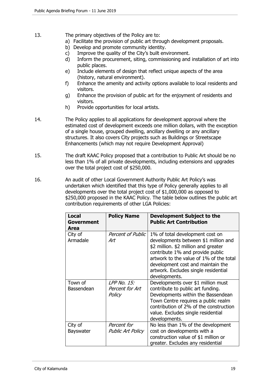- 13. The primary objectives of the Policy are to:
	- a) Facilitate the provision of public art through development proposals.
	- b) Develop and promote community identity.
	- c) Improve the quality of the City's built environment.
	- d) Inform the procurement, siting, commissioning and installation of art into public places.
	- e) Include elements of design that reflect unique aspects of the area (history, natural environment).
	- f) Enhance the amenity and activity options available to local residents and visitors.
	- g) Enhance the provision of public art for the enjoyment of residents and visitors.
	- h) Provide opportunities for local artists.
- 14. The Policy applies to all applications for development approval where the estimated cost of development exceeds one million dollars, with the exception of a single house, grouped dwelling, ancillary dwelling or any ancillary structures. It also covers City projects such as Buildings or Streetscape Enhancements (which may not require Development Approval)
- 15. The draft KAAC Policy proposed that a contribution to Public Art should be no less than 1% of all private developments, including extensions and upgrades over the total project cost of \$250,000.
- 16. An audit of other Local Government Authority Public Art Policy's was undertaken which identified that this type of Policy generally applies to all developments over the total project cost of \$1,000,000 as opposed to \$250,000 proposed in the KAAC Policy. The table below outlines the public art contribution requirements of other LGA Policies:

| <b>Local</b><br>Government<br>Area | <b>Policy Name</b>                       | Development Subject to the<br><b>Public Art Contribution</b>                                                                                                                                                                                                                                 |
|------------------------------------|------------------------------------------|----------------------------------------------------------------------------------------------------------------------------------------------------------------------------------------------------------------------------------------------------------------------------------------------|
| City of<br>Armadale                | <b>Percent of Public</b><br>Art          | 1% of total development cost on<br>developments between \$1 million and<br>\$2 million. \$2 million and greater<br>contribute 1% and provide public<br>artwork to the value of 1% of the total<br>development cost and maintain the<br>artwork. Excludes single residential<br>developments. |
| Town of<br>Bassendean              | LPP No. 15:<br>Percent for Art<br>Policy | Developments over \$1 million must<br>contribute to public art funding.<br>Developments within the Bassendean<br>Town Centre requires a public realm<br>contribution of 2% of the construction<br>value. Excludes single residential<br>developments.                                        |
| City of<br><b>Bayswater</b>        | Percent for<br><b>Public Art Policy</b>  | No less than 1% of the development<br>cost on developments with a<br>construction value of \$1 million or<br>greater. Excludes any residential                                                                                                                                               |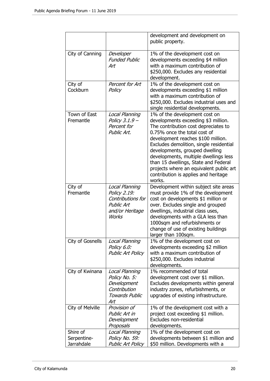|                                       |                                                                                                             | development and development on<br>public property.                                                                                                                                                                                                                                                                                                                                                                                            |
|---------------------------------------|-------------------------------------------------------------------------------------------------------------|-----------------------------------------------------------------------------------------------------------------------------------------------------------------------------------------------------------------------------------------------------------------------------------------------------------------------------------------------------------------------------------------------------------------------------------------------|
| City of Canning                       | Developer<br><b>Funded Public</b><br>Art                                                                    | 1% of the development cost on<br>developments exceeding \$4 million<br>with a maximum contribution of<br>\$250,000. Excludes any residential<br>development.                                                                                                                                                                                                                                                                                  |
| City of<br>Cockburn                   | Percent for Art<br>Policy                                                                                   | 1% of the development cost on<br>developments exceeding \$1 million<br>with a maximum contribution of<br>\$250,000. Excludes industrial uses and<br>single residential developments.                                                                                                                                                                                                                                                          |
| Town of East<br>Fremantle             | Local Planning<br>Policy 3.1.9 -<br>Percent for<br>Public Art.                                              | 1% of the development cost on<br>developments exceeding \$3 million.<br>The contribution cost depreciates to<br>0.75% once the total cost of<br>development reaches \$100 million.<br>Excludes demolition, single residential<br>developments, grouped dwelling<br>developments, multiple dwellings less<br>than 15 dwellings, State and Federal<br>projects where an equivalent public art<br>contribution is applies and heritage<br>works. |
| City of<br>Fremantle                  | Local Planning<br>Policy 2.19:<br>Contributions for<br><b>Public Art</b><br>and/or Heritage<br><b>Works</b> | Development within subject site areas<br>must provide 1% of the development<br>cost on developments \$1 million or<br>over. Excludes single and grouped<br>dwellings, industrial class uses,<br>developments with a GLA less than<br>1000sqm and refurbishments or<br>change of use of existing buildings<br>larger than 100sqm.                                                                                                              |
| City of Gosnells                      | Local Planning<br>Policy 6.0:<br><b>Public Art Policy</b>                                                   | 1% of the development cost on<br>developments exceeding \$2 million<br>with a maximum contribution of<br>\$250,000. Excludes industrial<br>developments.                                                                                                                                                                                                                                                                                      |
| City of Kwinana                       | Local Planning<br>Policy No. 5:<br>Development<br>Contribution<br><b>Towards Public</b><br>Art              | 1% recommended of total<br>development cost over \$1 million.<br>Excludes developments within general<br>industry zones, refurbishments, or<br>upgrades of existing infrastructure.                                                                                                                                                                                                                                                           |
| City of Melville                      | Provision of<br>Public Art in<br>Development<br>Proposals                                                   | 1% of the development cost with a<br>project cost exceeding \$1 million.<br>Excludes non-residential<br>developments.                                                                                                                                                                                                                                                                                                                         |
| Shire of<br>Serpentine-<br>Jarrahdale | Local Planning<br>Policy No. 59:<br><b>Public Art Policy</b>                                                | 1% of the development cost on<br>developments between \$1 million and<br>\$50 million. Developments with a                                                                                                                                                                                                                                                                                                                                    |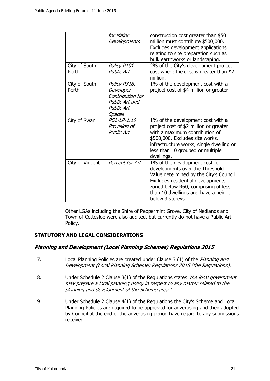|                        | for Major<br>Developments                                                               | construction cost greater than \$50<br>million must contribute \$500,000.<br>Excludes development applications<br>relating to site preparation such as<br>bulk earthworks or landscaping.                                                           |
|------------------------|-----------------------------------------------------------------------------------------|-----------------------------------------------------------------------------------------------------------------------------------------------------------------------------------------------------------------------------------------------------|
| City of South<br>Perth | Policy P101:<br><b>Public Art</b>                                                       | 2% of the City's development project<br>cost where the cost is greater than \$2<br>million.                                                                                                                                                         |
| City of South<br>Perth | Policy P316:<br>Developer<br>Contribution for<br>Public Art and<br>Public Art<br>Spaces | 1% of the development cost with a<br>project cost of \$4 million or greater.                                                                                                                                                                        |
| City of Swan           | POL-LP-1.10<br>Provision of<br><b>Public Art</b>                                        | 1% of the development cost with a<br>project cost of \$2 million or greater<br>with a maximum contribution of<br>\$500,000. Excludes site works,<br>infrastructure works, single dwelling or<br>less than 10 grouped or multiple<br>dwellings.      |
| City of Vincent        | Percent for Art                                                                         | 1% of the development cost for<br>developments over the Threshold<br>Value determined by the City's Council.<br>Excludes residential developments<br>zoned below R60, comprising of less<br>than 10 dwellings and have a height<br>below 3 storeys. |

Other LGAs including the Shire of Peppermint Grove, City of Nedlands and Town of Cottesloe were also audited, but currently do not have a Public Art Policy.

## **STATUTORY AND LEGAL CONSIDERATIONS**

## **Planning and Development (Local Planning Schemes) Regulations 2015**

- 17. Local Planning Policies are created under Clause 3 (1) of the Planning and Development (Local Planning Scheme) Regulations 2015 (the Regulations).
- 18. Under Schedule 2 Clause 3(1) of the Regulations states 'the local government may prepare a local planning policy in respect to any matter related to the planning and development of the Scheme area.'
- 19. Under Schedule 2 Clause 4(1) of the Regulations the City's Scheme and Local Planning Policies are required to be approved for advertising and then adopted by Council at the end of the advertising period have regard to any submissions received.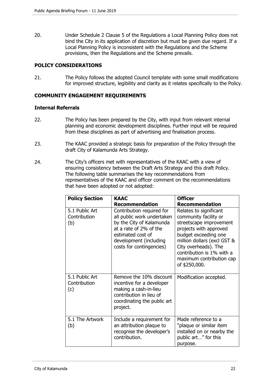20. Under Schedule 2 Clause 5 of the Regulations a Local Planning Policy does not bind the City in its application of discretion but must be given due regard. If a Local Planning Policy is inconsistent with the Regulations and the Scheme provisions, then the Regulations and the Scheme prevails.

## **POLICY CONSIDERATIONS**

21. The Policy follows the adopted Council template with some small modifications for improved structure, legibility and clarity as it relates specifically to the Policy.

## **COMMUNITY ENGAGEMENT REQUIREMENTS**

## **Internal Referrals**

- 22. The Policy has been prepared by the City, with input from relevant internal planning and economic development disciplines. Further input will be required from these disciplines as part of advertising and finalisation process.
- 23. The KAAC provided a strategic basis for preparation of the Policy through the draft City of Kalamunda Arts Strategy.
- 24. The City's officers met with representatives of the KAAC with a view of ensuring consistency between the Draft Arts Strategy and this draft Policy. The following table summarises the key recommendations from representatives of the KAAC and officer comment on the recommendations that have been adopted or not adopted:

| <b>Policy Section</b>                 | <b>KAAC</b>                                                                                                                                                                                                | <b>Officer</b>                                                                                                                                                                                                                                                                         |
|---------------------------------------|------------------------------------------------------------------------------------------------------------------------------------------------------------------------------------------------------------|----------------------------------------------------------------------------------------------------------------------------------------------------------------------------------------------------------------------------------------------------------------------------------------|
| 5.1 Public Art<br>Contribution<br>(b) | Recommendation<br>Contribution required for<br>all public work undertaken<br>by the City of Kalamunda<br>at a rate of 2% of the<br>estimated cost of<br>development (including<br>costs for contingencies) | <b>Recommendation</b><br>Relates to significant<br>community facility or<br>streetscape improvement<br>projects with approved<br>budget exceeding one<br>million dollars (excl GST &<br>City overheads). The<br>contribution is 1% with a<br>maximum contribution cap<br>of \$250,000. |
| 5.1 Public Art<br>Contribution<br>(c) | Remove the 10% discount<br>incentive for a developer<br>making a cash-in-lieu<br>contribution in lieu of<br>coordinating the public art<br>project.                                                        | Modification accepted.                                                                                                                                                                                                                                                                 |
| 5.1 The Artwork<br>(b)                | Include a requirement for<br>an attribution plaque to<br>recognise the developer's<br>contribution.                                                                                                        | Made reference to a<br>"plaque or similar item<br>installed on or nearby the<br>public art" for this<br>purpose.                                                                                                                                                                       |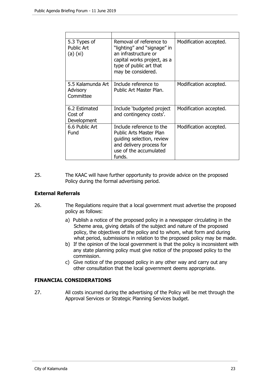| 5.3 Types of<br><b>Public Art</b><br>$(a)$ $(xi)$ | Removal of reference to<br>"lighting" and "signage" in<br>an infrastructure or<br>capital works project, as a<br>type of public art that<br>may be considered. | Modification accepted. |
|---------------------------------------------------|----------------------------------------------------------------------------------------------------------------------------------------------------------------|------------------------|
| 5.5 Kalamunda Art<br>Advisory<br>Committee        | Include reference to<br>Public Art Master Plan.                                                                                                                | Modification accepted. |
| 6.2 Estimated<br>Cost of<br>Development           | Include 'budgeted project<br>and contingency costs'.                                                                                                           | Modification accepted. |
| 6.6 Public Art<br>Fund                            | Include reference to the<br>Public Arts Master Plan<br>guiding selection, review<br>and delivery process for<br>use of the accumulated<br>funds.               | Modification accepted. |

25. The KAAC will have further opportunity to provide advice on the proposed Policy during the formal advertising period.

## **External Referrals**

- 26. The Regulations require that a local government must advertise the proposed policy as follows:
	- a) Publish a notice of the proposed policy in a newspaper circulating in the Scheme area, giving details of the subject and nature of the proposed policy, the objectives of the policy and to whom, what form and during what period, submissions in relation to the proposed policy may be made.
	- b) If the opinion of the local government is that the policy is inconsistent with any state planning policy must give notice of the proposed policy to the commission.
	- c) Give notice of the proposed policy in any other way and carry out any other consultation that the local government deems appropriate.

# **FINANCIAL CONSIDERATIONS**

27. All costs incurred during the advertising of the Policy will be met through the Approval Services or Strategic Planning Services budget.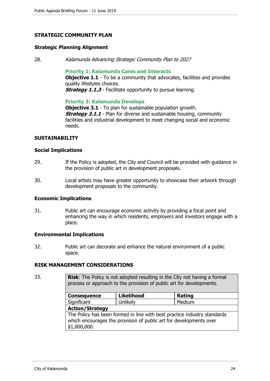## **STRATEGIC COMMUNITY PLAN**

#### **Strategic Planning Alignment**

28. Kalamunda Advancing Strategic Community Plan to 2027

**Priority 1: Kalamunda Cares and Interacts**

**Objective 1.1** - To be a community that advocates, facilities and provides quality lifestyles choices.

**Strategy 1.1.3** - Facilitate opportunity to pursue learning.

#### **Priority 3: Kalamunda Develops**

**Objective 3.1** - To plan for sustainable population growth. **Strategy 3.1.1** - Plan for diverse and sustainable housing, community facilities and industrial development to meet changing social and economic needs.

## **SUSTAINABILITY**

#### **Social Implications**

- 29. If the Policy is adopted, the City and Council will be provided with guidance in the provision of public art in development proposals.
- 30. Local artists may have greater opportunity to showcase their artwork through development proposals to the community.

#### **Economic Implications**

31. Public art can encourage economic activity by providing a focal point and enhancing the way in which residents, employers and investors engage with a place.

## **Environmental Implications**

32. Public art can decorate and enhance the natural environment of a public space.

## **RISK MANAGEMENT CONSIDERATIONS**

33. **Risk**: The Policy is not adopted resulting in the City not having a formal process or approach to the provision of public art for developments.

| <b>Consequence</b>                                                       | <b>Likelihood</b> | <b>Rating</b> |
|--------------------------------------------------------------------------|-------------------|---------------|
| Significant                                                              | Unlikely          | Medium        |
| <b>Action/Strategy</b>                                                   |                   |               |
| The Policy has been formed in line with best practice industry standards |                   |               |
| which encourages the provision of public art for developments over       |                   |               |
| \$1,000,000.                                                             |                   |               |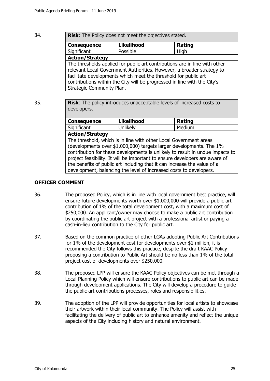34. **Risk**: The Policy does not meet the objectives stated.

| <b>Consequence</b>                                                                                                                                                                                                                                                                                                              | <b>Likelihood</b> | Rating |
|---------------------------------------------------------------------------------------------------------------------------------------------------------------------------------------------------------------------------------------------------------------------------------------------------------------------------------|-------------------|--------|
| Significant                                                                                                                                                                                                                                                                                                                     | Possible          | High   |
| <b>Action/Strategy</b>                                                                                                                                                                                                                                                                                                          |                   |        |
| The thresholds applied for public art contributions are in line with other<br>relevant Local Government Authorities. However, a broader strategy to<br>facilitate developments which meet the threshold for public art<br>contributions within the City will be progressed in line with the City's<br>Strategic Community Plan. |                   |        |

35. **Risk**: The policy introduces unacceptable levels of increased costs to developers.

| <b>Consequence</b>     | <b>Likelihood</b> | Rating |  |
|------------------------|-------------------|--------|--|
| Significant            | Unlikelv          | Medium |  |
| <b>Action/Strategy</b> |                   |        |  |

The threshold, which is in line with other Local Government areas (developments over \$1,000,000) targets larger developments. The 1% contribution for these developments is unlikely to result in undue impacts to project feasibility. It will be important to ensure developers are aware of the benefits of public art including that it can increase the value of a development, balancing the level of increased costs to developers.

## **OFFICER COMMENT**

- 36. The proposed Policy, which is in line with local government best practice, will ensure future developments worth over \$1,000,000 will provide a public art contribution of 1% of the total development cost, with a maximum cost of \$250,000. An applicant/owner may choose to make a public art contribution by coordinating the public art project with a professional artist or paying a cash-in-lieu contribution to the City for public art.
- 37. Based on the common practice of other LGAs adopting Public Art Contributions for 1% of the development cost for developments over \$1 million, it is recommended the City follows this practice, despite the draft KAAC Policy proposing a contribution to Public Art should be no less than 1% of the total project cost of developments over \$250,000.
- 38. The proposed LPP will ensure the KAAC Policy objectives can be met through a Local Planning Policy which will ensure contributions to public art can be made through development applications. The City will develop a procedure to guide the public art contributions processes, roles and responsibilities.
- 39. The adoption of the LPP will provide opportunities for local artists to showcase their artwork within their local community. The Policy will assist with facilitating the delivery of public art to enhance amenity and reflect the unique aspects of the City including history and natural environment.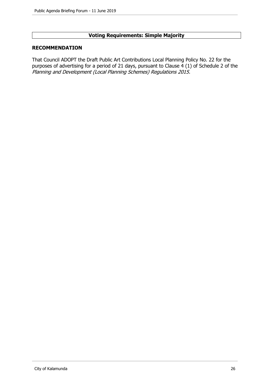# **Voting Requirements: Simple Majority**

# **RECOMMENDATION**

That Council ADOPT the Draft Public Art Contributions Local Planning Policy No. 22 for the purposes of advertising for a period of 21 days, pursuant to Clause  $\frac{4}{1}$  (1) of Schedule 2 of the Planning and Development (Local Planning Schemes) Regulations 2015.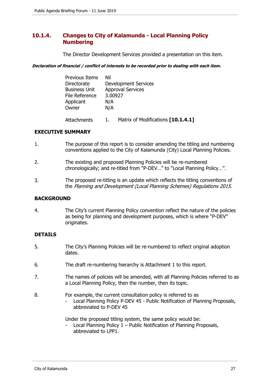# **10.1.4. Changes to City of Kalamunda - Local Planning Policy Numbering**

The Director Development Services provided a presentation on this item.

**Declaration of financial / conflict of interests to be recorded prior to dealing with each item.** 

| <b>Previous Items</b> | Nil                         |
|-----------------------|-----------------------------|
| Directorate           | <b>Development Services</b> |
| <b>Business Unit</b>  | <b>Approval Services</b>    |
| File Reference        | 3.00927                     |
| Applicant             | N/A                         |
| Owner                 | N/A                         |
|                       |                             |

Attachments 1. Matrix of Modifications **[10.1.4.1]**

# **EXECUTIVE SUMMARY**

- 1. The purpose of this report is to consider amending the titling and numbering conventions applied to the City of Kalamunda (City) Local Planning Policies.
- 2. The existing and proposed Planning Policies will be re-numbered chronologically; and re-titled from "P-DEV…" to "Local Planning Policy…".
- 3. The proposed re-titling is an update which reflects the titling conventions of the Planning and Development (Local Planning Schemes) Regulations 2015.

# **BACKGROUND**

4. The City's current Planning Policy convention reflect the nature of the policies as being for planning and development purposes, which is where "P-DEV" originates.

# **DETAILS**

- 5. The City's Planning Policies will be re-numbered to reflect original adoption dates.
- 6. The draft re-numbering hierarchy is Attachment 1 to this report.
- 7. The names of policies will be amended, with all Planning Policies referred to as a Local Planning Policy, then the number, then its topic.
- 8. For example, the current consultation policy is referred to as - Local Planning Policy P-DEV 45 - Public Notification of Planning Proposals, abbreviated to P-DEV 45

Under the proposed titling system, the same policy would be:

Local Planning Policy  $1$  – Public Notification of Planning Proposals, abbreviated to LPP1.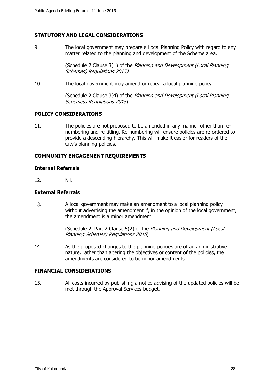## **STATUTORY AND LEGAL CONSIDERATIONS**

9. The local government may prepare a Local Planning Policy with regard to any matter related to the planning and development of the Scheme area.

> (Schedule 2 Clause 3(1) of the Planning and Development (Local Planning Schemes) Regulations 2015)

10. The local government may amend or repeal a local planning policy.

(Schedule 2 Clause 3(4) of the Planning and Development (Local Planning Schemes) Regulations 2015).

#### **POLICY CONSIDERATIONS**

11. The policies are not proposed to be amended in any manner other than renumbering and re-titling. Re-numbering will ensure policies are re-ordered to provide a descending hierarchy. This will make it easier for readers of the City's planning policies.

## **COMMUNITY ENGAGEMENT REQUIREMENTS**

## **Internal Referrals**

12. Nil.

#### **External Referrals**

13. A local government may make an amendment to a local planning policy without advertising the amendment if, in the opinion of the local government, the amendment is a minor amendment.

> (Schedule 2, Part 2 Clause 5(2) of the Planning and Development (Local Planning Schemes) Regulations 2015)

14. As the proposed changes to the planning policies are of an administrative nature, rather than altering the objectives or content of the policies, the amendments are considered to be minor amendments.

## **FINANCIAL CONSIDERATIONS**

15. All costs incurred by publishing a notice advising of the updated policies will be met through the Approval Services budget.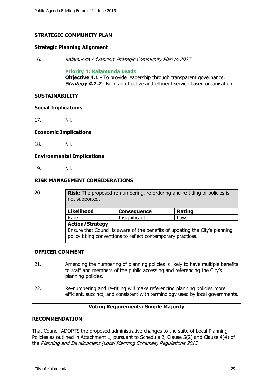## **STRATEGIC COMMUNITY PLAN**

#### **Strategic Planning Alignment**

16. Kalamunda Advancing Strategic Community Plan to 2027

#### **Priority 4: Kalamunda Leads**

**Objective 4.1** - To provide leadership through transparent governance. **Strategy 4.1.2** - Build an effective and efficient service based organisation.

## **SUSTAINABILITY**

#### **Social Implications**

17. Nil.

#### **Economic Implications**

18. Nil.

## **Environmental Implications**

19. Nil.

## **RISK MANAGEMENT CONSIDERATIONS**

20. **Risk**: The proposed re-numbering, re-ordering and re-titling of policies is not supported.

| <b>Likelihood</b>                                                                                                                             | <b>Consequence</b> | <b>Rating</b> |
|-----------------------------------------------------------------------------------------------------------------------------------------------|--------------------|---------------|
| Rare                                                                                                                                          | Insignificant      | Low           |
| <b>Action/Strategy</b>                                                                                                                        |                    |               |
| Ensure that Council is aware of the benefits of updating the City's planning<br>policy titling conventions to reflect contemporary practices. |                    |               |

## **OFFICER COMMENT**

- 21. Amending the numbering of planning policies is likely to have multiple benefits to staff and members of the public accessing and referencing the City's planning policies.
- 22. Re-numbering and re-titling will make referencing planning policies more efficient, succinct, and consistent with terminology used by local governments.

## **Voting Requirements: Simple Majority**

## **RECOMMENDATION**

That Council ADOPTS the proposed administrative changes to the suite of Local Planning Policies as outlined in Attachment 1, pursuant to Schedule 2, Clause 5(2) and Clause 4(4) of the Planning and Development (Local Planning Schemes) Regulations 2015.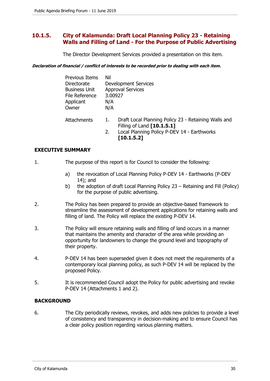# **10.1.5. City of Kalamunda: Draft Local Planning Policy 23 - Retaining Walls and Filling of Land - For the Purpose of Public Advertising**

The Director Development Services provided a presentation on this item.

**Declaration of financial / conflict of interests to be recorded prior to dealing with each item.** 

| Previous Items<br>Directorate<br><b>Business Unit</b><br>File Reference<br>Applicant<br>Owner | Nil<br><b>Development Services</b><br><b>Approval Services</b><br>3.00927<br>N/A<br>N/A                                                                     |
|-----------------------------------------------------------------------------------------------|-------------------------------------------------------------------------------------------------------------------------------------------------------------|
| <b>Attachments</b>                                                                            | Draft Local Planning Policy 23 - Retaining Walls and<br>1.<br>Filling of Land [10.1.5.1]<br>Local Planning Policy P-DEV 14 - Earthworks<br>2.<br>[10.1.5.2] |

# **EXECUTIVE SUMMARY**

- 1. The purpose of this report is for Council to consider the following:
	- a) the revocation of Local Planning Policy P-DEV 14 Earthworks (P-DEV 14); and
	- b) the adoption of draft Local Planning Policy 23 Retaining and Fill (Policy) for the purpose of public advertising.
- 2. The Policy has been prepared to provide an objective-based framework to streamline the assessment of development applications for retaining walls and filling of land. The Policy will replace the existing P-DEV 14.
- 3. The Policy will ensure retaining walls and filling of land occurs in a manner that maintains the amenity and character of the area while providing an opportunity for landowners to change the ground level and topography of their property.
- 4. P-DEV 14 has been superseded given it does not meet the requirements of a contemporary local planning policy, as such P-DEV 14 will be replaced by the proposed Policy.
- 5. It is recommended Council adopt the Policy for public advertising and revoke P-DEV 14 (Attachments 1 and 2).

# **BACKGROUND**

6. The City periodically reviews, revokes, and adds new policies to provide a level of consistency and transparency in decision-making and to ensure Council has a clear policy position regarding various planning matters.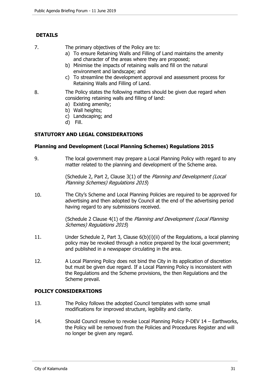# **DETAILS**

7. The primary objectives of the Policy are to:

- a) To ensure Retaining Walls and Filling of Land maintains the amenity and character of the areas where they are proposed;
- b) Minimise the impacts of retaining walls and fill on the natural environment and landscape; and
- c) To streamline the development approval and assessment process for Retaining Walls and Filling of Land.
- 8. The Policy states the following matters should be given due regard when considering retaining walls and filling of land:
	- a) Existing amenity;
	- b) Wall heights;
	- c) Landscaping; and
	- d) Fill.

# **STATUTORY AND LEGAL CONSIDERATIONS**

## **Planning and Development (Local Planning Schemes) Regulations 2015**

9. The local government may prepare a Local Planning Policy with regard to any matter related to the planning and development of the Scheme area.

> (Schedule 2, Part 2, Clause 3(1) of the Planning and Development (Local Planning Schemes) Regulations 2015)

10. The City's Scheme and Local Planning Policies are required to be approved for advertising and then adopted by Council at the end of the advertising period having regard to any submissions received.

> (Schedule 2 Clause 4(1) of the Planning and Development (Local Planning Schemes) Regulations 2015)

- 11. Under Schedule 2, Part 3, Clause 6(b)(i)(ii) of the Regulations, a local planning policy may be revoked through a notice prepared by the local government; and published in a newspaper circulating in the area.
- 12. A Local Planning Policy does not bind the City in its application of discretion but must be given due regard. If a Local Planning Policy is inconsistent with the Regulations and the Scheme provisions, the then Regulations and the Scheme prevail.

# **POLICY CONSIDERATIONS**

- 13. The Policy follows the adopted Council templates with some small modifications for improved structure, legibility and clarity.
- 14. Should Council resolve to revoke Local Planning Policy P-DEV 14 Earthworks, the Policy will be removed from the Policies and Procedures Register and will no longer be given any regard.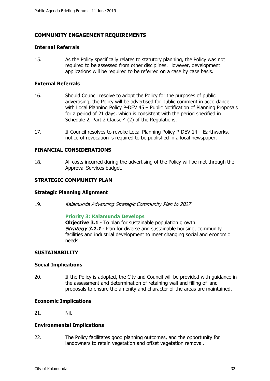# **COMMUNITY ENGAGEMENT REQUIREMENTS**

#### **Internal Referrals**

15. As the Policy specifically relates to statutory planning, the Policy was not required to be assessed from other disciplines. However, development applications will be required to be referred on a case by case basis.

#### **External Referrals**

- 16. Should Council resolve to adopt the Policy for the purposes of public advertising, the Policy will be advertised for public comment in accordance with Local Planning Policy P-DEV 45 – Public Notification of Planning Proposals for a period of 21 days, which is consistent with the period specified in Schedule 2, Part 2 Clause 4 (2) of the Regulations.
- 17. If Council resolves to revoke Local Planning Policy P-DEV 14 Earthworks, notice of revocation is required to be published in a local newspaper.

#### **FINANCIAL CONSIDERATIONS**

18. All costs incurred during the advertising of the Policy will be met through the Approval Services budget.

## **STRATEGIC COMMUNITY PLAN**

## **Strategic Planning Alignment**

19. Kalamunda Advancing Strategic Community Plan to 2027

#### **Priority 3: Kalamunda Develops**

**Objective 3.1** - To plan for sustainable population growth. **Strategy 3.1.1** - Plan for diverse and sustainable housing, community facilities and industrial development to meet changing social and economic needs.

## **SUSTAINABILITY**

#### **Social Implications**

20. If the Policy is adopted, the City and Council will be provided with guidance in the assessment and determination of retaining wall and filling of land proposals to ensure the amenity and character of the areas are maintained.

#### **Economic Implications**

21. Nil.

#### **Environmental Implications**

22. The Policy facilitates good planning outcomes, and the opportunity for landowners to retain vegetation and offset vegetation removal.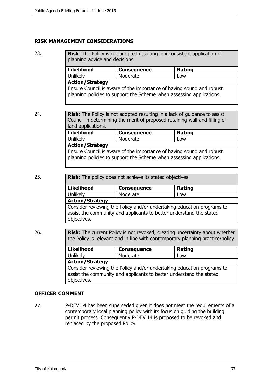# **RISK MANAGEMENT CONSIDERATIONS**

23. **Risk:** The Policy is not adopted resulting in inconsistent application of planning advice and decisions.

| <b>Likelihood</b>                                                                                                                            | <b>Consequence</b> | Rating |
|----------------------------------------------------------------------------------------------------------------------------------------------|--------------------|--------|
| <b>Unlikely</b>                                                                                                                              | Moderate           | Low    |
| <b>Action/Strategy</b>                                                                                                                       |                    |        |
| Ensure Council is aware of the importance of having sound and robust<br>planning policies to support the Scheme when assessing applications. |                    |        |

24. **Risk**: The Policy is not adopted resulting in a lack of guidance to assist Council in determining the merit of proposed retaining wall and filling of land applications. Likelihood Consequence **Rating** Unlikely Moderate Low **Action/Strategy** 

Ensure Council is aware of the importance of having sound and robust planning policies to support the Scheme when assessing applications.

25. **Risk**: The policy does not achieve its stated objectives.

| <b>Likelihood</b>                                                                                                                             | <b>Consequence</b> | Rating |
|-----------------------------------------------------------------------------------------------------------------------------------------------|--------------------|--------|
| Unlikely                                                                                                                                      | Moderate           | Low    |
| <b>Action/Strategy</b>                                                                                                                        |                    |        |
| Consider reviewing the Policy and/or undertaking education programs to<br>assist the community and applicants to better understand the stated |                    |        |

26. **Risk**: The current Policy is not revoked, creating uncertainty about whether the Policy is relevant and in line with contemporary planning practice/policy.

| <b>Likelihood</b>                                                                                                                                            | <b>Consequence</b> | <b>Rating</b> |
|--------------------------------------------------------------------------------------------------------------------------------------------------------------|--------------------|---------------|
| Unlikely                                                                                                                                                     | Moderate           | Low           |
| <b>Action/Strategy</b>                                                                                                                                       |                    |               |
| Consider reviewing the Policy and/or undertaking education programs to<br>assist the community and applicants to better understand the stated<br>objectives. |                    |               |

# **OFFICER COMMENT**

objectives.

27. P-DEV 14 has been superseded given it does not meet the requirements of a contemporary local planning policy with its focus on guiding the building permit process. Consequently P-DEV 14 is proposed to be revoked and replaced by the proposed Policy.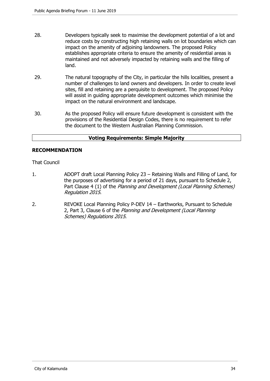- 28. Developers typically seek to maximise the development potential of a lot and reduce costs by constructing high retaining walls on lot boundaries which can impact on the amenity of adjoining landowners. The proposed Policy establishes appropriate criteria to ensure the amenity of residential areas is maintained and not adversely impacted by retaining walls and the filling of land.
- 29. The natural topography of the City, in particular the hills localities, present a number of challenges to land owners and developers. In order to create level sites, fill and retaining are a perquisite to development. The proposed Policy will assist in guiding appropriate development outcomes which minimise the impact on the natural environment and landscape.
- 30. As the proposed Policy will ensure future development is consistent with the provisions of the Residential Design Codes, there is no requirement to refer the document to the Western Australian Planning Commission.

# **Voting Requirements: Simple Majority**

## **RECOMMENDATION**

## That Council

- 1. ADOPT draft Local Planning Policy 23 Retaining Walls and Filling of Land, for the purposes of advertising for a period of 21 days, pursuant to Schedule 2, Part Clause 4 (1) of the Planning and Development (Local Planning Schemes) Regulation 2015.
- 2. REVOKE Local Planning Policy P-DEV 14 Earthworks, Pursuant to Schedule 2, Part 3, Clause 6 of the Planning and Development (Local Planning Schemes) Regulations 2015.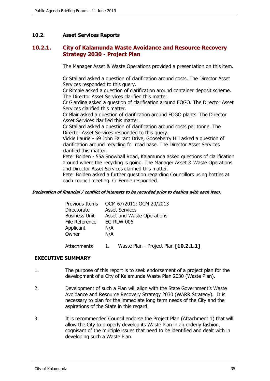# **10.2. Asset Services Reports**

# **10.2.1. City of Kalamunda Waste Avoidance and Resource Recovery Strategy 2030 - Project Plan**

The Manager Asset & Waste Operations provided a presentation on this item.

Cr Stallard asked a question of clarification around costs. The Director Asset Services responded to this query.

Cr Ritchie asked a question of clarification around container deposit scheme. The Director Asset Services clarified this matter.

Cr Giardina asked a question of clarification around FOGO. The Director Asset Services clarified this matter.

Cr Blair asked a question of clarification around FOGO plants. The Director Asset Services clarified this matter.

Cr Stallard asked a question of clarification around costs per tonne. The Director Asset Services responded to this query.

Vickie Laurie - 69 John Farrant Drive, Gooseberry Hill asked a question of clarification around recycling for road base. The Director Asset Services clarified this matter.

Peter Bolden - 55a Snowball Road, Kalamunda asked questions of clarification around where the recycling is going. The Manager Asset & Waste Operations and Director Asset Services clarified this matter.

Peter Bolden asked a further question regarding Councillors using bottles at each council meeting. Cr Fernie responded.

#### **Declaration of financial / conflict of interests to be recorded prior to dealing with each item.**

| Previous Items       | OCM 67/2011; OCM 20/2013   |
|----------------------|----------------------------|
| Directorate          | <b>Asset Services</b>      |
| <b>Business Unit</b> | Asset and Waste Operations |
| File Reference       | <b>EG-RLW-006</b>          |
| Applicant            | N/A                        |
| Owner                | N/A                        |
|                      |                            |

Attachments 1. Waste Plan - Project Plan **[10.2.1.1]**

# **EXECUTIVE SUMMARY**

- 1. The purpose of this report is to seek endorsement of a project plan for the development of a City of Kalamunda Waste Plan 2030 (Waste Plan).
- 2. Development of such a Plan will align with the State Government's Waste Avoidance and Resource Recovery Strategy 2030 (WARR Strategy). It is necessary to plan for the immediate long term needs of the City and the aspirations of the State in this regard.
- 3. It is recommended Council endorse the Project Plan (Attachment 1) that will allow the City to properly develop its Waste Plan in an orderly fashion, cognisant of the multiple issues that need to be identified and dealt with in developing such a Waste Plan.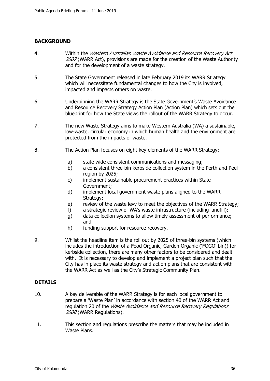# **BACKGROUND**

- 4. Within the Western Australian Waste Avoidance and Resource Recovery Act 2007 (WARR Act), provisions are made for the creation of the Waste Authority and for the development of a waste strategy.
- 5. The State Government released in late February 2019 its WARR Strategy which will necessitate fundamental changes to how the City is involved. impacted and impacts others on waste.
- 6. Underpinning the WARR Strategy is the State Government's Waste Avoidance and Resource Recovery Strategy Action Plan (Action Plan) which sets out the blueprint for how the State views the rollout of the WARR Strategy to occur.
- 7. The new Waste Strategy aims to make Western Australia (WA) a sustainable, low-waste, circular economy in which human health and the environment are protected from the impacts of waste.
- 8. The Action Plan focuses on eight key elements of the WARR Strategy:
	- a) state wide consistent communications and messaging;
	- b) a consistent three-bin kerbside collection system in the Perth and Peel region by 2025;
	- c) implement sustainable procurement practices within State Government;
	- d) implement local government waste plans aligned to the WARR Strategy;
	- e) review of the waste levy to meet the objectives of the WARR Strategy;
	- f) a strategic review of WA's waste infrastructure (including landfill);
	- g) data collection systems to allow timely assessment of performance; and
	- h) funding support for resource recovery.
- 9. Whilst the headline item is the roll out by 2025 of three-bin systems (which includes the introduction of a Food Organic, Garden Organic ('FOGO' bin)) for kerbside collection, there are many other factors to be considered and dealt with. It is necessary to develop and implement a project plan such that the City has in place its waste strategy and action plans that are consistent with the WARR Act as well as the City's Strategic Community Plan.

## **DETAILS**

- 10. A key deliverable of the WARR Strategy is for each local government to prepare a 'Waste Plan' in accordance with section 40 of the WARR Act and regulation 20 of the *Waste Avoidance and Resource Recovery Regulations* 2008 (WARR Regulations).
- 11. This section and regulations prescribe the matters that may be included in Waste Plans.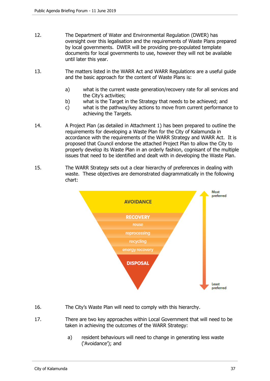- 12. The Department of Water and Environmental Regulation (DWER) has oversight over this legalisation and the requirements of Waste Plans prepared by local governments. DWER will be providing pre-populated template documents for local governments to use, however they will not be available until later this year.
- 13. The matters listed in the WARR Act and WARR Regulations are a useful guide and the basic approach for the content of Waste Plans is:
	- a) what is the current waste generation/recovery rate for all services and the City's activities;
	- b) what is the Target in the Strategy that needs to be achieved; and
	- c) what is the pathway/key actions to move from current performance to achieving the Targets.
- 14. A Project Plan (as detailed in Attachment 1) has been prepared to outline the requirements for developing a Waste Plan for the City of Kalamunda in accordance with the requirements of the WARR Strategy and WARR Act. It is proposed that Council endorse the attached Project Plan to allow the City to properly develop its Waste Plan in an orderly fashion, cognisant of the multiple issues that need to be identified and dealt with in developing the Waste Plan.
- 15. The WARR Strategy sets out a clear hierarchy of preferences in dealing with waste. These objectives are demonstrated diagrammatically in the following chart:



- 16. The City's Waste Plan will need to comply with this hierarchy.
- 17. There are two key approaches within Local Government that will need to be taken in achieving the outcomes of the WARR Strategy:
	- a) resident behaviours will need to change in generating less waste ('Avoidance'); and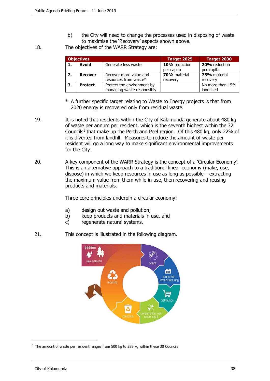b) the City will need to change the processes used in disposing of waste to maximise the 'Recovery' aspects shown above.

18. The objectives of the WARR Strategy are:

| <b>Objectives</b> |                                              |                            | Target 2025   | Target 2030      |
|-------------------|----------------------------------------------|----------------------------|---------------|------------------|
| 1.                | Avoid                                        | Generate less waste        | 10% reduction | 20% reduction    |
|                   |                                              |                            | per capita    | per capita       |
| 2.                | <b>Recover</b>                               | Recover more value and     | 70% material  | 75% material     |
|                   |                                              | resources from waste*      | recovery      | recovery         |
| 3.                | Protect the environment by<br><b>Protect</b> |                            |               | No more than 15% |
|                   |                                              | managing waste responsibly |               | landfilled       |

- \* A further specific target relating to Waste to Energy projects is that from 2020 energy is recovered only from residual waste.
- 19. It is noted that residents within the City of Kalamunda generate about 480 kg of waste per annum per resident, which is the seventh highest within the 32 Councils<sup>1</sup> that make up the Perth and Peel region. Of this 480 kg, only 22% of it is diverted from landfill. Measures to reduce the amount of waste per resident will go a long way to make significant environmental improvements for the City.
- 20. A key component of the WARR Strategy is the concept of a 'Circular Economy'. This is an alternative approach to a traditional linear economy (make, use, dispose) in which we keep resources in use as long as possible – extracting the maximum value from them while in use, then recovering and reusing products and materials.

Three core principles underpin a circular economy:

- a) design out waste and pollution;
- b) keep products and materials in use, and
- c) regenerate natural systems.
- 21. This concept is illustrated in the following diagram.



 $1$  The amount of waste per resident ranges from 500 kg to 288 kg within these 30 Councils

 $\overline{a}$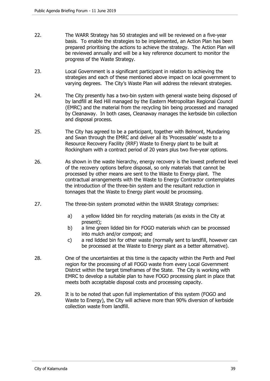- 22. The WARR Strategy has 50 strategies and will be reviewed on a five-year basis. To enable the strategies to be implemented, an Action Plan has been prepared prioritising the actions to achieve the strategy. The Action Plan will be reviewed annually and will be a key reference document to monitor the progress of the Waste Strategy.
- 23. Local Government is a significant participant in relation to achieving the strategies and each of these mentioned above impact on local government to varying degrees. The City's Waste Plan will address the relevant strategies.
- 24. The City presently has a two-bin system with general waste being disposed of by landfill at Red Hill managed by the Eastern Metropolitan Regional Council (EMRC) and the material from the recycling bin being processed and managed by Cleanaway. In both cases, Cleanaway manages the kerbside bin collection and disposal process.
- 25. The City has agreed to be a participant, together with Belmont, Mundaring and Swan through the EMRC and deliver all its 'Processable' waste to a Resource Recovery Facility (RRF) Waste to Energy plant to be built at Rockingham with a contract period of 20 years plus two five-year options.
- 26. As shown in the waste hierarchy, energy recovery is the lowest preferred level of the recovery options before disposal, so only materials that cannot be processed by other means are sent to the Waste to Energy plant. The contractual arrangements with the Waste to Energy Contractor contemplates the introduction of the three-bin system and the resultant reduction in tonnages that the Waste to Energy plant would be processing.
- 27. The three-bin system promoted within the WARR Strategy comprises:
	- a) a yellow lidded bin for recycling materials (as exists in the City at present);
	- b) a lime green lidded bin for FOGO materials which can be processed into mulch and/or compost; and
	- c) a red lidded bin for other waste (normally sent to landfill, however can be processed at the Waste to Energy plant as a better alternative).
- 28. One of the uncertainties at this time is the capacity within the Perth and Peel region for the processing of all FOGO waste from every Local Government District within the target timeframes of the State. The City is working with EMRC to develop a suitable plan to have FOGO processing plant in place that meets both acceptable disposal costs and processing capacity.
- 29. It is to be noted that upon full implementation of this system (FOGO and Waste to Energy), the City will achieve more than 90% diversion of kerbside collection waste from landfill.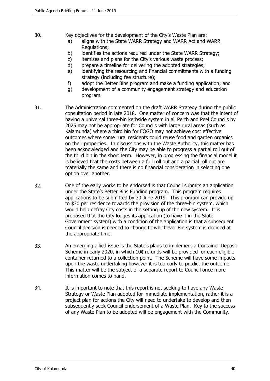- 30. Key objectives for the development of the City's Waste Plan are:
	- a) aligns with the State WARR Strategy and WARR Act and WARR Regulations;
	- b) identifies the actions required under the State WARR Strategy;
	- c) itemises and plans for the City's various waste process;
	- d) prepare a timeline for delivering the adopted strategies;
	- e) identifying the resourcing and financial commitments with a funding strategy (including fee structure);
	- f) adopt the Better Bins program and make a funding application; and
	- g) development of a community engagement strategy and education program.
- 31. The Administration commented on the draft WARR Strategy during the public consultation period in late 2018. One matter of concern was that the intent of having a universal three-bin kerbside system in all Perth and Peel Councils by 2025 may not be appropriate for Councils with large rural areas (such as Kalamunda) where a third bin for FOGO may not achieve cost effective outcomes where some rural residents could reuse food and garden organics on their properties. In discussions with the Waste Authority, this matter has been acknowledged and the City may be able to progress a partial roll out of the third bin in the short term. However, in progressing the financial model it is believed that the costs between a full roll out and a partial roll out are materially the same and there is no financial consideration in selecting one option over another.
- 32. One of the early works to be endorsed is that Council submits an application under the State's Better Bins Funding program. This program requires applications to be submitted by 30 June 2019. This program can provide up to \$30 per residence towards the provision of the three-bin system, which would help defray City costs in the setting up of the new system. It is proposed that the City lodges its application (to have it in the State Government system) with a condition of the application is that a subsequent Council decision is needed to change to whichever Bin system is decided at the appropriate time.
- 33. An emerging allied issue is the State's plans to implement a Container Deposit Scheme in early 2020, in which 10¢ refunds will be provided for each eligible container returned to a collection point. The Scheme will have some impacts upon the waste undertaking however it is too early to predict the outcome. This matter will be the subject of a separate report to Council once more information comes to hand.
- 34. It is important to note that this report is not seeking to have any Waste Strategy or Waste Plan adopted for immediate implementation, rather it is a project plan for actions the City will need to undertake to develop and then subsequently seek Council endorsement of a Waste Plan. Key to the success of any Waste Plan to be adopted will be engagement with the Community.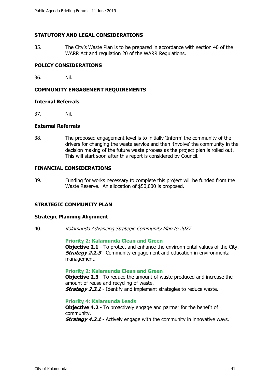## **STATUTORY AND LEGAL CONSIDERATIONS**

35. The City's Waste Plan is to be prepared in accordance with section 40 of the WARR Act and regulation 20 of the WARR Regulations.

## **POLICY CONSIDERATIONS**

36. Nil.

## **COMMUNITY ENGAGEMENT REQUIREMENTS**

#### **Internal Referrals**

37. Nil.

## **External Referrals**

38. The proposed engagement level is to initially 'Inform' the community of the drivers for changing the waste service and then 'Involve' the community in the decision making of the future waste process as the project plan is rolled out. This will start soon after this report is considered by Council.

## **FINANCIAL CONSIDERATIONS**

39. Funding for works necessary to complete this project will be funded from the Waste Reserve. An allocation of \$50,000 is proposed.

## **STRATEGIC COMMUNITY PLAN**

#### **Strategic Planning Alignment**

40. Kalamunda Advancing Strategic Community Plan to 2027

**Priority 2: Kalamunda Clean and Green**

**Objective 2.1** - To protect and enhance the environmental values of the City. **Strategy 2.1.3** - Community engagement and education in environmental management.

#### **Priority 2: Kalamunda Clean and Green**

**Objective 2.3** - To reduce the amount of waste produced and increase the amount of reuse and recycling of waste. **Strategy 2.3.1** - Identify and implement strategies to reduce waste.

## **Priority 4: Kalamunda Leads**

**Objective 4.2** - To proactively engage and partner for the benefit of community.

**Strategy 4.2.1** - Actively engage with the community in innovative ways.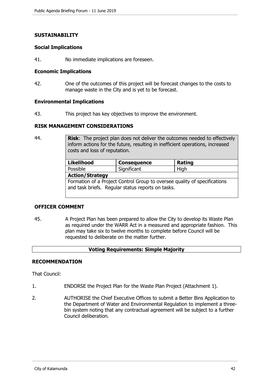#### **SUSTAINABILITY**

#### **Social Implications**

41. No immediate implications are foreseen.

#### **Economic Implications**

42. One of the outcomes of this project will be forecast changes to the costs to manage waste in the City and is yet to be forecast.

#### **Environmental Implications**

43. This project has key objectives to improve the environment.

## **RISK MANAGEMENT CONSIDERATIONS**

44. **Risk**: The project plan does not deliver the outcomes needed to effectively inform actions for the future, resulting in inefficient operations, increased costs and loss of reputation.

| <b>Likelihood</b>                                                                                                              | <b>Consequence</b> | <b>Rating</b> |  |  |
|--------------------------------------------------------------------------------------------------------------------------------|--------------------|---------------|--|--|
| Possible                                                                                                                       | Significant        | High          |  |  |
| <b>Action/Strategy</b>                                                                                                         |                    |               |  |  |
| Formation of a Project Control Group to oversee quality of specifications<br>and task briefs. Regular status reports on tasks. |                    |               |  |  |

# **OFFICER COMMENT**

45. A Project Plan has been prepared to allow the City to develop its Waste Plan as required under the WARR Act in a measured and appropriate fashion. This plan may take six to twelve months to complete before Council will be requested to deliberate on the matter further.

## **Voting Requirements: Simple Majority**

## **RECOMMENDATION**

That Council:

- 1. ENDORSE the Project Plan for the Waste Plan Project (Attachment 1).
- 2. AUTHORISE the Chief Executive Offices to submit a Better Bins Application to the Department of Water and Environmental Regulation to implement a threebin system noting that any contractual agreement will be subject to a further Council deliberation.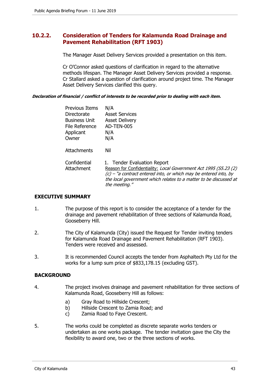# **10.2.2. Consideration of Tenders for Kalamunda Road Drainage and Pavement Rehabilitation (RFT 1903)**

The Manager Asset Delivery Services provided a presentation on this item.

Cr O'Connor asked questions of clarification in regard to the alternative methods lifespan. The Manager Asset Delivery Services provided a response. Cr Stallard asked a question of clarification around project time. The Manager Asset Delivery Services clarified this query.

#### **Declaration of financial / conflict of interests to be recorded prior to dealing with each item.**

| <b>Previous Items</b><br>Directorate<br><b>Business Unit</b><br>File Reference<br>Applicant<br>Owner | N/A<br><b>Asset Services</b><br><b>Asset Delivery</b><br>AD-TEN-005<br>N/A<br>N/A                                                                                                                                                                           |
|------------------------------------------------------------------------------------------------------|-------------------------------------------------------------------------------------------------------------------------------------------------------------------------------------------------------------------------------------------------------------|
| <b>Attachments</b>                                                                                   | Nil                                                                                                                                                                                                                                                         |
| Confidential<br>Attachment                                                                           | 1. Tender Evaluation Report<br>Reason for Confidentiality: Local Government Act 1995 (S5.23 (2)<br>$(c)$ – "a contract entered into, or which may be entered into, by<br>the local government which relates to a matter to be discussed at<br>the meeting." |

## **EXECUTIVE SUMMARY**

- 1. The purpose of this report is to consider the acceptance of a tender for the drainage and pavement rehabilitation of three sections of Kalamunda Road, Gooseberry Hill.
- 2. The City of Kalamunda (City) issued the Request for Tender inviting tenders for Kalamunda Road Drainage and Pavement Rehabilitation (RFT 1903). Tenders were received and assessed.
- 3. It is recommended Council accepts the tender from Asphaltech Pty Ltd for the works for a lump sum price of \$833,178.15 (excluding GST).

## **BACKGROUND**

- 4. The project involves drainage and pavement rehabilitation for three sections of Kalamunda Road, Gooseberry Hill as follows:
	- a) Gray Road to Hillside Crescent;
	- b) Hillside Crescent to Zamia Road; and
	- c) Zamia Road to Faye Crescent.
- 5. The works could be completed as discrete separate works tenders or undertaken as one works package. The tender invitation gave the City the flexibility to award one, two or the three sections of works.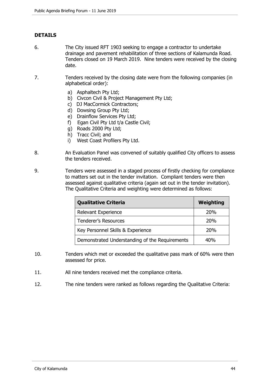# **DETAILS**

- 6. The City issued RFT 1903 seeking to engage a contractor to undertake drainage and pavement rehabilitation of three sections of Kalamunda Road. Tenders closed on 19 March 2019. Nine tenders were received by the closing date.
- 7. Tenders received by the closing date were from the following companies (in alphabetical order):
	- a) Asphaltech Pty Ltd;
	- b) Civcon Civil & Project Management Pty Ltd;
	- c) DJ MacCormick Contractors;
	- d) Dowsing Group Pty Ltd;
	- e) Drainflow Services Pty Ltd;
	- f) Egan Civil Pty Ltd t/a Castle Civil;
	- g) Roads 2000 Pty Ltd;
	- h) Tracc Civil; and
	- i) West Coast Profilers Pty Ltd.
- 8. An Evaluation Panel was convened of suitably qualified City officers to assess the tenders received.
- 9. Tenders were assessed in a staged process of firstly checking for compliance to matters set out in the tender invitation. Compliant tenders were then assessed against qualitative criteria (again set out in the tender invitation). The Qualitative Criteria and weighting were determined as follows:

| <b>Qualitative Criteria</b>                    | <b>Weighting</b> |
|------------------------------------------------|------------------|
| Relevant Experience                            | 20%              |
| <b>Tenderer's Resources</b>                    | 20%              |
| Key Personnel Skills & Experience              | 20%              |
| Demonstrated Understanding of the Requirements | 40%              |

- 10. Tenders which met or exceeded the qualitative pass mark of 60% were then assessed for price.
- 11. All nine tenders received met the compliance criteria.
- 12. The nine tenders were ranked as follows regarding the Qualitative Criteria: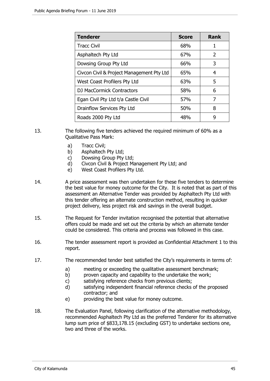| <b>Tenderer</b>                           | <b>Score</b> | <b>Rank</b>   |
|-------------------------------------------|--------------|---------------|
| <b>Tracc Civil</b>                        | 68%          | 1             |
| Asphaltech Pty Ltd                        | 67%          | $\mathcal{P}$ |
| Dowsing Group Pty Ltd                     | 66%          | 3             |
| Civcon Civil & Project Management Pty Ltd | 65%          | 4             |
| West Coast Profilers Pty Ltd              | 63%          | 5             |
| DJ MacCormick Contractors                 | 58%          | 6             |
| Egan Civil Pty Ltd t/a Castle Civil       | 57%          | 7             |
| Drainflow Services Pty Ltd                | 50%          | 8             |
| Roads 2000 Pty Ltd                        | 48%          | 9             |

- 13. The following five tenders achieved the required minimum of 60% as a Qualitative Pass Mark:
	- a) Tracc Civil;
	- b) Asphaltech Pty Ltd;
	- c) Dowsing Group Pty Ltd;
	- d) Civcon Civil & Project Management Pty Ltd; and
	- e) West Coast Profilers Pty Ltd.
- 14. A price assessment was then undertaken for these five tenders to determine the best value for money outcome for the City. It is noted that as part of this assessment an Alternative Tender was provided by Asphaltech Pty Ltd with this tender offering an alternate construction method, resulting in quicker project delivery, less project risk and savings in the overall budget.
- 15. The Request for Tender invitation recognised the potential that alternative offers could be made and set out the criteria by which an alternate tender could be considered. This criteria and process was followed in this case.
- 16. The tender assessment report is provided as Confidential Attachment 1 to this report.
- 17. The recommended tender best satisfied the City's requirements in terms of:
	- a) meeting or exceeding the qualitative assessment benchmark;
	- b) proven capacity and capability to the undertake the work;
	- c) satisfying reference checks from previous clients;
	- d) satisfying independent financial reference checks of the proposed contractor; and
	- e) providing the best value for money outcome.
- 18. The Evaluation Panel, following clarification of the alternative methodology, recommended Asphaltech Pty Ltd as the preferred Tenderer for its alternative lump sum price of \$833,178.15 (excluding GST) to undertake sections one, two and three of the works.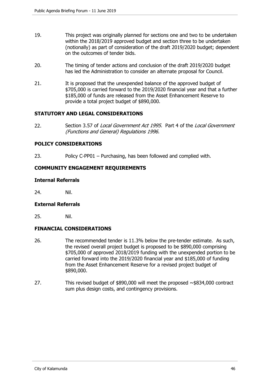- 19. This project was originally planned for sections one and two to be undertaken within the 2018/2019 approved budget and section three to be undertaken (notionally) as part of consideration of the draft 2019/2020 budget; dependent on the outcomes of tender bids.
- 20. The timing of tender actions and conclusion of the draft 2019/2020 budget has led the Administration to consider an alternate proposal for Council.
- 21. It is proposed that the unexpended balance of the approved budget of \$705,000 is carried forward to the 2019/2020 financial year and that a further \$185,000 of funds are released from the Asset Enhancement Reserve to provide a total project budget of \$890,000.

## **STATUTORY AND LEGAL CONSIDERATIONS**

22. Section 3.57 of Local Government Act 1995. Part 4 of the Local Government (Functions and General) Regulations 1996.

## **POLICY CONSIDERATIONS**

23. Policy C-PP01 – Purchasing, has been followed and complied with.

## **COMMUNITY ENGAGEMENT REQUIREMENTS**

## **Internal Referrals**

24. Nil.

## **External Referrals**

25. Nil.

# **FINANCIAL CONSIDERATIONS**

- 26. The recommended tender is 11.3% below the pre-tender estimate. As such, the revised overall project budget is proposed to be \$890,000 comprising \$705,000 of approved 2018/2019 funding with the unexpended portion to be carried forward into the 2019/2020 financial year and \$185,000 of funding from the Asset Enhancement Reserve for a revised project budget of \$890,000.
- 27. This revised budget of \$890,000 will meet the proposed ~\$834,000 contract sum plus design costs, and contingency provisions.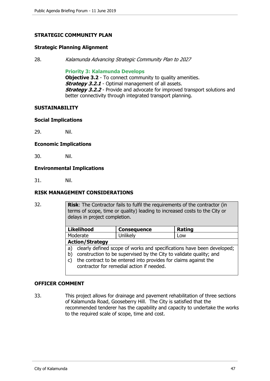## **STRATEGIC COMMUNITY PLAN**

#### **Strategic Planning Alignment**

28. Kalamunda Advancing Strategic Community Plan to 2027

#### **Priority 3: Kalamunda Develops**

**Objective 3.2** - To connect community to quality amenities. **Strategy 3.2.1** - Optimal management of all assets. **Strategy 3.2.2** - Provide and advocate for improved transport solutions and better connectivity through integrated transport planning.

#### **SUSTAINABILITY**

#### **Social Implications**

29. Nil.

#### **Economic Implications**

30. Nil.

## **Environmental Implications**

31. Nil.

## **RISK MANAGEMENT CONSIDERATIONS**

32. **Risk**: The Contractor fails to fulfil the requirements of the contractor (in terms of scope, time or quality) leading to increased costs to the City or delays in project completion.

| <b>Likelihood</b>                                                            | <b>Consequence</b> | Rating |  |
|------------------------------------------------------------------------------|--------------------|--------|--|
| Moderate                                                                     | Unlikely           | Low    |  |
| <b>Action/Strategy</b>                                                       |                    |        |  |
| clearly defined scope of works and specifications have been developed;<br>a) |                    |        |  |

- b) construction to be supervised by the City to validate quality; and c) the contract to be entered into provides for claims against the
- contractor for remedial action if needed.

## **OFFICER COMMENT**

33. This project allows for drainage and pavement rehabilitation of three sections of Kalamunda Road, Gooseberry Hill. The City is satisfied that the recommended tenderer has the capability and capacity to undertake the works to the required scale of scope, time and cost.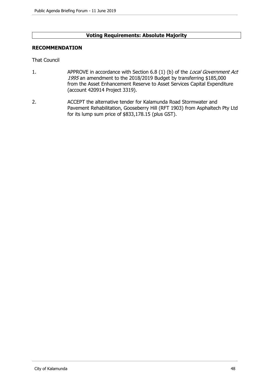## **Voting Requirements: Absolute Majority**

## **RECOMMENDATION**

That Council

- 1. APPROVE in accordance with Section 6.8 (1) (b) of the Local Government Act 1995 an amendment to the 2018/2019 Budget by transferring \$185,000 from the Asset Enhancement Reserve to Asset Services Capital Expenditure (account 420914 Project 3319).
- 2. ACCEPT the alternative tender for Kalamunda Road Stormwater and Pavement Rehabilitation, Gooseberry Hill (RFT 1903) from Asphaltech Pty Ltd for its lump sum price of \$833,178.15 (plus GST).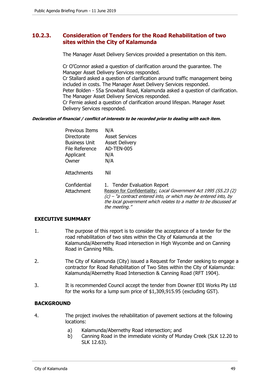# **10.2.3. Consideration of Tenders for the Road Rehabilitation of two sites within the City of Kalamunda**

The Manager Asset Delivery Services provided a presentation on this item.

Cr O'Connor asked a question of clarification around the guarantee. The Manager Asset Delivery Services responded. Cr Stallard asked a question of clarification around traffic management being included in costs. The Manager Asset Delivery Services responded. Peter Bolden - 55a Snowball Road, Kalamunda asked a question of clarification.

The Manager Asset Delivery Services responded. Cr Fernie asked a question of clarification around lifespan. Manager Asset

Delivery Services responded.

#### **Declaration of financial / conflict of interests to be recorded prior to dealing with each item.**

| <b>Previous Items</b><br>Directorate<br><b>Business Unit</b><br>File Reference<br>Applicant<br>Owner | N/A<br><b>Asset Services</b><br><b>Asset Delivery</b><br>AD-TEN-005<br>N/A<br>N/A                                                                                                                                                                           |
|------------------------------------------------------------------------------------------------------|-------------------------------------------------------------------------------------------------------------------------------------------------------------------------------------------------------------------------------------------------------------|
| <b>Attachments</b>                                                                                   | Nil                                                                                                                                                                                                                                                         |
| Confidential<br>Attachment                                                                           | 1. Tender Evaluation Report<br>Reason for Confidentiality: Local Government Act 1995 (S5.23 (2)<br>$(c)$ – "a contract entered into, or which may be entered into, by<br>the local government which relates to a matter to be discussed at<br>the meeting." |

## **EXECUTIVE SUMMARY**

- 1. The purpose of this report is to consider the acceptance of a tender for the road rehabilitation of two sites within the City of Kalamunda at the Kalamunda/Abernethy Road intersection in High Wycombe and on Canning Road in Canning Mills.
- 2. The City of Kalamunda (City) issued a Request for Tender seeking to engage a contractor for Road Rehabilitation of Two Sites within the City of Kalamunda: Kalamunda/Abernethy Road Intersection & Canning Road (RFT 1904).
- 3. It is recommended Council accept the tender from Downer EDI Works Pty Ltd for the works for a lump sum price of \$1,309,915.95 (excluding GST).

# **BACKGROUND**

- 4. The project involves the rehabilitation of pavement sections at the following locations:
	- a) Kalamunda/Abernethy Road intersection; and
	- b) Canning Road in the immediate vicinity of Munday Creek (SLK 12.20 to SLK 12.63).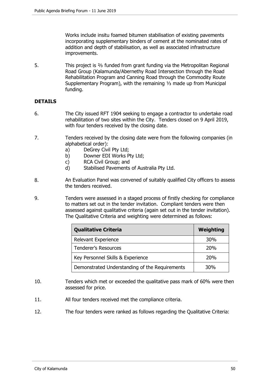Works include insitu foamed bitumen stabilisation of existing pavements incorporating supplementary binders of cement at the nominated rates of addition and depth of stabilisation, as well as associated infrastructure improvements.

5. This project is ⅔ funded from grant funding via the Metropolitan Regional Road Group (Kalamunda/Abernethy Road Intersection through the Road Rehabilitation Program and Canning Road through the Commodity Route Supplementary Program), with the remaining ⅓ made up from Municipal funding.

# **DETAILS**

- 6. The City issued RFT 1904 seeking to engage a contractor to undertake road rehabilitation of two sites within the City. Tenders closed on 9 April 2019, with four tenders received by the closing date.
- 7. Tenders received by the closing date were from the following companies (in alphabetical order):
	- a) DeGrey Civil Pty Ltd;
	- b) Downer EDI Works Pty Ltd;
	- c) RCA Civil Group; and
	- d) Stabilised Pavements of Australia Pty Ltd.
- 8. An Evaluation Panel was convened of suitably qualified City officers to assess the tenders received.
- 9. Tenders were assessed in a staged process of firstly checking for compliance to matters set out in the tender invitation. Compliant tenders were then assessed against qualitative criteria (again set out in the tender invitation). The Qualitative Criteria and weighting were determined as follows:

| <b>Qualitative Criteria</b>                    | <b>Weighting</b> |
|------------------------------------------------|------------------|
| Relevant Experience                            | <b>30%</b>       |
| <b>Tenderer's Resources</b>                    | 20%              |
| Key Personnel Skills & Experience              | 20%              |
| Demonstrated Understanding of the Requirements | 30%              |

- 10. Tenders which met or exceeded the qualitative pass mark of 60% were then assessed for price.
- 11. All four tenders received met the compliance criteria.
- 12. The four tenders were ranked as follows regarding the Qualitative Criteria: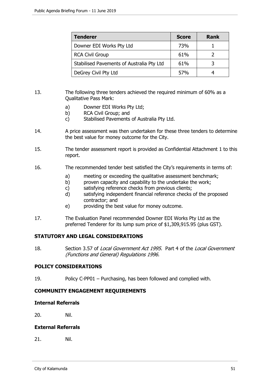| <b>Tenderer</b>                           | <b>Score</b>    | <b>Rank</b> |
|-------------------------------------------|-----------------|-------------|
| Downer EDI Works Pty Ltd                  | 73%             |             |
| <b>RCA Civil Group</b>                    | 61%             |             |
| Stabilised Pavements of Australia Pty Ltd | 61%             |             |
| DeGrey Civil Pty Ltd                      | 57 <sub>%</sub> |             |

- 13. The following three tenders achieved the required minimum of 60% as a Qualitative Pass Mark:
	- a) Downer EDI Works Pty Ltd;
	- b) RCA Civil Group; and
	- c) Stabilised Pavements of Australia Pty Ltd.
- 14. A price assessment was then undertaken for these three tenders to determine the best value for money outcome for the City.
- 15. The tender assessment report is provided as Confidential Attachment 1 to this report.
- 16. The recommended tender best satisfied the City's requirements in terms of:
	- a) meeting or exceeding the qualitative assessment benchmark;
	- b) proven capacity and capability to the undertake the work;
	- c) satisfying reference checks from previous clients;
	- d) satisfying independent financial reference checks of the proposed contractor; and
	- e) providing the best value for money outcome.
- 17. The Evaluation Panel recommended Downer EDI Works Pty Ltd as the preferred Tenderer for its lump sum price of \$1,309,915.95 (plus GST).

# **STATUTORY AND LEGAL CONSIDERATIONS**

18. Section 3.57 of Local Government Act 1995. Part 4 of the Local Government (Functions and General) Regulations 1996.

# **POLICY CONSIDERATIONS**

19. Policy C-PP01 – Purchasing, has been followed and complied with.

# **COMMUNITY ENGAGEMENT REQUIREMENTS**

**Internal Referrals** 

20. Nil.

## **External Referrals**

21. Nil.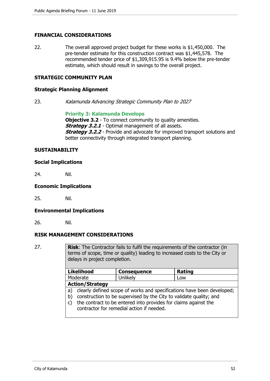## **FINANCIAL CONSIDERATIONS**

22. The overall approved project budget for these works is \$1,450,000. The pre-tender estimate for this construction contract was \$1,445,578. The recommended tender price of \$1,309,915.95 is 9.4% below the pre-tender estimate, which should result in savings to the overall project.

## **STRATEGIC COMMUNITY PLAN**

#### **Strategic Planning Alignment**

23. Kalamunda Advancing Strategic Community Plan to 2027

**Priority 3: Kalamunda Develops**

**Objective 3.2** - To connect community to quality amenities. **Strategy 3.2.1** - Optimal management of all assets. **Strategy 3.2.2** - Provide and advocate for improved transport solutions and better connectivity through integrated transport planning.

#### **SUSTAINABILITY**

#### **Social Implications**

24. Nil.

#### **Economic Implications**

25. Nil.

## **Environmental Implications**

26. Nil.

## **RISK MANAGEMENT CONSIDERATIONS**

27. **Risk**: The Contractor fails to fulfil the requirements of the contractor (in terms of scope, time or quality) leading to increased costs to the City or delays in project completion.

|          | <b>Likelihood</b>                                                      | <b>Consequence</b> | Rating |  |
|----------|------------------------------------------------------------------------|--------------------|--------|--|
| Moderate |                                                                        | Unlikely           | Low    |  |
|          | <b>Action/Strategy</b>                                                 |                    |        |  |
| a)       | clearly defined scope of works and specifications have been developed; |                    |        |  |
| b)       | construction to be supervised by the City to validate quality; and     |                    |        |  |
| C)       | the contract to be entered into provides for claims against the        |                    |        |  |
|          | contractor for remedial action if needed.                              |                    |        |  |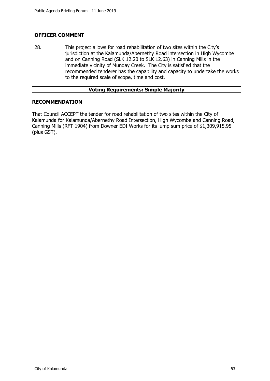# **OFFICER COMMENT**

28. This project allows for road rehabilitation of two sites within the City's jurisdiction at the Kalamunda/Abernethy Road intersection in High Wycombe and on Canning Road (SLK 12.20 to SLK 12.63) in Canning Mills in the immediate vicinity of Munday Creek. The City is satisfied that the recommended tenderer has the capability and capacity to undertake the works to the required scale of scope, time and cost.

## **Voting Requirements: Simple Majority**

## **RECOMMENDATION**

That Council ACCEPT the tender for road rehabilitation of two sites within the City of Kalamunda for Kalamunda/Abernethy Road Intersection, High Wycombe and Canning Road, Canning Mills (RFT 1904) from Downer EDI Works for its lump sum price of \$1,309,915.95 (plus GST).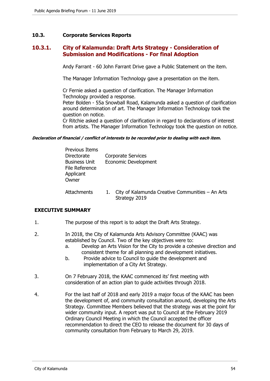## **10.3. Corporate Services Reports**

# **10.3.1. City of Kalamunda: Draft Arts Strategy - Consideration of Submission and Modifications - For final Adoption**

Andy Farrant - 60 John Farrant Drive gave a Public Statement on the item.

The Manager Information Technology gave a presentation on the item.

Cr Fernie asked a question of clarification. The Manager Information Technology provided a response.

Peter Bolden - 55a Snowball Road, Kalamunda asked a question of clarification around determination of art. The Manager Information Technology took the question on notice.

Cr Ritchie asked a question of clarification in regard to declarations of interest from artists. The Manager Information Technology took the question on notice.

#### **Declaration of financial / conflict of interests to be recorded prior to dealing with each item.**

| Previous Items                                      |                           |
|-----------------------------------------------------|---------------------------|
| Directorate                                         | <b>Corporate Services</b> |
| <b>Business Unit</b><br>File Reference<br>Applicant | Economic Development      |
| Owner                                               |                           |
|                                                     |                           |

Attachments 1. City of Kalamunda Creative Communities – An Arts Strategy 2019

## **EXECUTIVE SUMMARY**

- 1. The purpose of this report is to adopt the Draft Arts Strategy.
- 2. In 2018, the City of Kalamunda Arts Advisory Committee (KAAC) was established by Council. Two of the key objectives were to:
	- a. Develop an Arts Vision for the City to provide a cohesive direction and consistent theme for all planning and development initiatives.
	- b. Provide advice to Council to guide the development and implementation of a City Art Strategy.
- 3. On 7 February 2018, the KAAC commenced its' first meeting with consideration of an action plan to guide activities through 2018.
- 4. For the last half of 2018 and early 2019 a major focus of the KAAC has been the development of, and community consultation around, developing the Arts Strategy. Committee Members believed that the strategy was at the point for wider community input. A report was put to Council at the February 2019 Ordinary Council Meeting in which the Council accepted the officer recommendation to direct the CEO to release the document for 30 days of community consultation from February to March 29, 2019.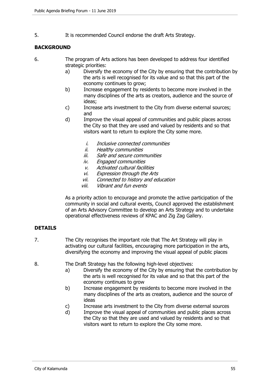5. It is recommended Council endorse the draft Arts Strategy.

# **BACKGROUND**

- 6. The program of Arts actions has been developed to address four identified strategic priorities:
	- a) Diversify the economy of the City by ensuring that the contribution by the arts is well recognised for its value and so that this part of the economy continues to grow;
	- b) Increase engagement by residents to become more involved in the many disciplines of the arts as creators, audience and the source of ideas;
	- c) Increase arts investment to the City from diverse external sources; and
	- d) Improve the visual appeal of communities and public places across the City so that they are used and valued by residents and so that visitors want to return to explore the City some more.
		- i. Inclusive connected communities
		- ii. Healthy communities
		- iii. Safe and secure communities
		- iv. Engaged communities
		- v. Activated cultural facilities
		- vi. Expression through the Arts
		- vii. Connected to history and education
		- viii. Vibrant and fun events

As a priority action to encourage and promote the active participation of the community in social and cultural events, Council approved the establishment of an Arts Advisory Committee to develop an Arts Strategy and to undertake operational effectiveness reviews of KPAC and Zig Zag Gallery.

# **DETAILS**

- 7. The City recognises the important role that The Art Strategy will play in activating our cultural facilities, encouraging more participation in the arts, diversifying the economy and improving the visual appeal of public places
- 8. The Draft Strategy has the following high-level objectives:
	- a) Diversify the economy of the City by ensuring that the contribution by the arts is well recognised for its value and so that this part of the economy continues to grow
	- b) Increase engagement by residents to become more involved in the many disciplines of the arts as creators, audience and the source of ideas
	- c) Increase arts investment to the City from diverse external sources
	- d) Improve the visual appeal of communities and public places across the City so that they are used and valued by residents and so that visitors want to return to explore the City some more.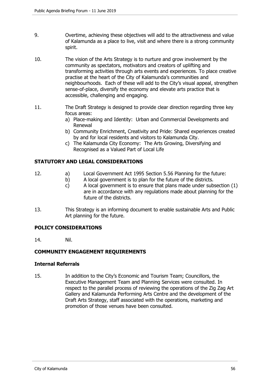- 9. Overtime, achieving these objectives will add to the attractiveness and value of Kalamunda as a place to live, visit and where there is a strong community spirit.
- 10. The vision of the Arts Strategy is to nurture and grow involvement by the community as spectators, motivators and creators of uplifting and transforming activities through arts events and experiences. To place creative practise at the heart of the City of Kalamunda's communities and neighbourhoods. Each of these will add to the City's visual appeal, strengthen sense-of-place, diversify the economy and elevate arts practice that is accessible, challenging and engaging.
- 11. The Draft Strategy is designed to provide clear direction regarding three key focus areas:
	- a) Place-making and Identity: Urban and Commercial Developments and Renewal
	- b) Community Enrichment, Creativity and Pride: Shared experiences created by and for local residents and visitors to Kalamunda City.
	- c) The Kalamunda City Economy: The Arts Growing, Diversifying and Recognised as a Valued Part of Local Life

# **STATUTORY AND LEGAL CONSIDERATIONS**

- 12. a) Local Government Act 1995 Section 5.56 Planning for the future:
	- b) A local government is to plan for the future of the districts.
	- c) A local government is to ensure that plans made under subsection (1) are in accordance with any regulations made about planning for the future of the districts.
- 13. This Strategy is an informing document to enable sustainable Arts and Public Art planning for the future.

# **POLICY CONSIDERATIONS**

14. Nil.

# **COMMUNITY ENGAGEMENT REQUIREMENTS**

# **Internal Referrals**

15. In addition to the City's Economic and Tourism Team; Councillors, the Executive Management Team and Planning Services were consulted. In respect to the parallel process of reviewing the operations of the Zig Zag Art Gallery and Kalamunda Performing Arts Centre and the development of the Draft Arts Strategy, staff associated with the operations, marketing and promotion of those venues have been consulted.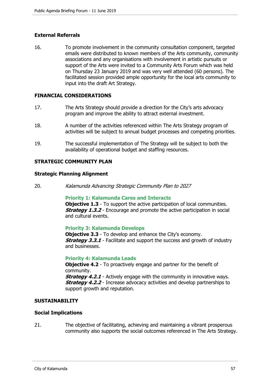# **External Referrals**

16. To promote involvement in the community consultation component, targeted emails were distributed to known members of the Arts community, community associations and any organisations with involvement in artistic pursuits or support of the Arts were invited to a Community Arts Forum which was held on Thursday 23 January 2019 and was very well attended (60 persons). The facilitated session provided ample opportunity for the local arts community to input into the draft Art Strategy.

## **FINANCIAL CONSIDERATIONS**

- 17. The Arts Strategy should provide a direction for the City's arts advocacy program and improve the ability to attract external investment.
- 18. A number of the activities referenced within The Arts Strategy program of activities will be subject to annual budget processes and competing priorities.
- 19. The successful implementation of The Strategy will be subject to both the availability of operational budget and staffing resources.

## **STRATEGIC COMMUNITY PLAN**

#### **Strategic Planning Alignment**

20. Kalamunda Advancing Strategic Community Plan to 2027

## **Priority 1: Kalamunda Cares and Interacts**

**Objective 1.3** - To support the active participation of local communities. **Strategy 1.3.2** - Encourage and promote the active participation in social and cultural events.

## **Priority 3: Kalamunda Develops**

**Objective 3.3** - To develop and enhance the City's economy. **Strategy 3.3.1** - Facilitate and support the success and growth of industry and businesses.

#### **Priority 4: Kalamunda Leads**

**Objective 4.2** - To proactively engage and partner for the benefit of community.

**Strategy 4.2.1** - Actively engage with the community in innovative ways. **Strategy 4.2.2** - Increase advocacy activities and develop partnerships to support growth and reputation.

## **SUSTAINABILITY**

## **Social Implications**

21. The objective of facilitating, achieving and maintaining a vibrant prosperous community also supports the social outcomes referenced in The Arts Strategy.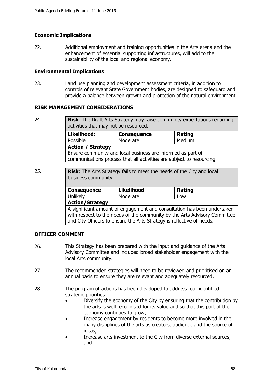## **Economic Implications**

22. Additional employment and training opportunities in the Arts arena and the enhancement of essential supporting infrastructures, will add to the sustainability of the local and regional economy.

## **Environmental Implications**

23. Land use planning and development assessment criteria, in addition to controls of relevant State Government bodies, are designed to safeguard and provide a balance between growth and protection of the natural environment.

## **RISK MANAGEMENT CONSIDERATIONS**

- 24. **Risk**: The Draft Arts Strategy may raise community expectations regarding activities that may not be resourced. **Likelihood: Consequence Rating** Possible | Moderate | Medium **Action / Strategy**  Ensure community and local business are informed as part of communications process that all activities are subject to resourcing.
- 25. **Risk**: The Arts Strategy fails to meet the needs of the City and local business community.

| <b>Consequence</b> | <b>Likelihood</b> | <b>Rating</b> |
|--------------------|-------------------|---------------|
| Unlikely           | Moderate          | LOW           |
| Action/Strategy    |                   |               |

**Action/Strategy** 

A significant amount of engagement and consultation has been undertaken with respect to the needs of the community by the Arts Advisory Committee and City Officers to ensure the Arts Strategy is reflective of needs.

# **OFFICER COMMENT**

- 26. This Strategy has been prepared with the input and guidance of the Arts Advisory Committee and included broad stakeholder engagement with the local Arts community.
- 27. The recommended strategies will need to be reviewed and prioritised on an annual basis to ensure they are relevant and adequately resourced.
- 28. The program of actions has been developed to address four identified strategic priorities:
	- Diversify the economy of the City by ensuring that the contribution by the arts is well recognised for its value and so that this part of the economy continues to grow;
	- Increase engagement by residents to become more involved in the many disciplines of the arts as creators, audience and the source of ideas;
	- Increase arts investment to the City from diverse external sources; and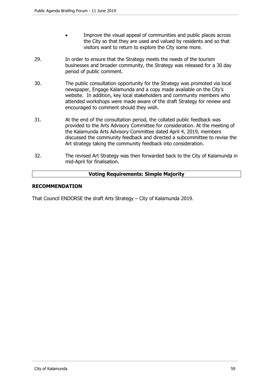- Improve the visual appeal of communities and public places across the City so that they are used and valued by residents and so that visitors want to return to explore the City some more.
- 29. In order to ensure that the Strategy meets the needs of the tourism businesses and broader community, the Strategy was released for a 30 day period of public comment.
- 30. The public consultation opportunity for the Strategy was promoted via local newspaper, Engage Kalamunda and a copy made available on the City's website. In addition, key local stakeholders and community members who attended workshops were made aware of the draft Strategy for review and encouraged to comment should they wish.
- 31. At the end of the consultation period, the collated public feedback was provided to the Arts Advisory Committee for consideration. At the meeting of the Kalamunda Arts Advisory Committee dated April 4, 2019, members discussed the community feedback and directed a subcommittee to revise the Art strategy taking the community feedback into consideration.
- 32. The revised Art Strategy was then forwarded back to the City of Kalamunda in mid-April for finalisation.

# **Voting Requirements: Simple Majority**

## **RECOMMENDATION**

That Council ENDORSE the draft Arts Strategy – City of Kalamunda 2019.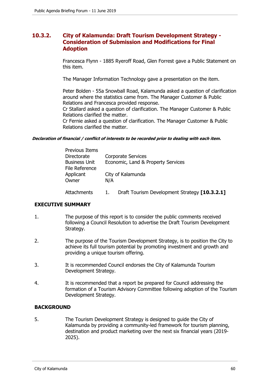# **10.3.2. City of Kalamunda: Draft Tourism Development Strategy - Consideration of Submission and Modifications for Final Adoption**

Francesca Flynn - 1885 Ryeroff Road, Glen Forrest gave a Public Statement on this item.

The Manager Information Technology gave a presentation on the item.

Peter Bolden - 55a Snowball Road, Kalamunda asked a question of clarification around where the statistics came from. The Manager Customer & Public Relations and Francesca provided response.

Cr Stallard asked a question of clarification. The Manager Customer & Public Relations clarified the matter.

Cr Fernie asked a question of clarification. The Manager Customer & Public Relations clarified the matter.

#### **Declaration of financial / conflict of interests to be recorded prior to dealing with each item.**

| Previous Items                         |                                               |
|----------------------------------------|-----------------------------------------------|
| Directorate                            | Corporate Services                            |
| <b>Business Unit</b><br>File Reference | Economic, Land & Property Services            |
| Applicant                              | City of Kalamunda                             |
| Owner                                  | N/A                                           |
| Attachments                            | Draft Tourism Development Strategy [10.3.2.1] |

# **EXECUTIVE SUMMARY**

- 1. The purpose of this report is to consider the public comments received following a Council Resolution to advertise the Draft Tourism Development Strategy.
- 2. The purpose of the Tourism Development Strategy, is to position the City to achieve its full tourism potential by promoting investment and growth and providing a unique tourism offering.
- 3. It is recommended Council endorses the City of Kalamunda Tourism Development Strategy.
- 4. It is recommended that a report be prepared for Council addressing the formation of a Tourism Advisory Committee following adoption of the Tourism Development Strategy.

# **BACKGROUND**

5. The Tourism Development Strategy is designed to guide the City of Kalamunda by providing a community-led framework for tourism planning, destination and product marketing over the next six financial years (2019- 2025).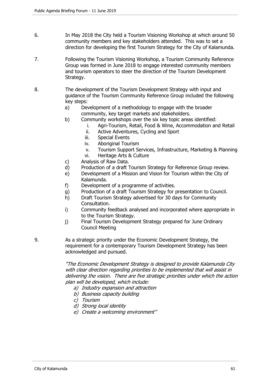- 6. In May 2018 the City held a Tourism Visioning Workshop at which around 50 community members and key stakeholders attended. This was to set a direction for developing the first Tourism Strategy for the City of Kalamunda.
- 7. Following the Tourism Visioning Workshop, a Tourism Community Reference Group was formed in June 2018 to engage interested community members and tourism operators to steer the direction of the Tourism Development Strategy.
- 8. The development of the Tourism Development Strategy with input and guidance of the Tourism Community Reference Group included the following key steps:
	- a) Development of a methodology to engage with the broader community, key target markets and stakeholders.
	- b) Community workshops over the six key topic areas identified:
		- i. Agri-Tourism, Retail, Food & Wine, Accommodation and Retail
			- ii. Active Adventures, Cycling and Sport
			- iii. Special Events
			- iv. Aboriginal Tourism
			- v. Tourism Support Services, Infrastructure, Marketing & Planning
			- vi. Heritage Arts & Culture
	- c) Analysis of Raw Data.
	- d) Production of a draft Tourism Strategy for Reference Group review.
	- e) Development of a Mission and Vision for Tourism within the City of Kalamunda.
	- f) Development of a programme of activities.
	- g) Production of a draft Tourism Strategy for presentation to Council.
	- h) Draft Tourism Strategy advertised for 30 days for Community Consultation.
	- i) Community feedback analysed and incorporated where appropriate in to the Tourism Strategy.
	- j) Final Tourism Development Strategy prepared for June Ordinary Council Meeting
- 9. As a strategic priority under the Economic Development Strategy, the requirement for a contemporary Tourism Development Strategy has been acknowledged and pursued.

"The Economic Development Strategy is designed to provide Kalamunda City with clear direction regarding priorities to be implemented that will assist in delivering the vision. There are five strategic priorities under which the action plan will be developed, which include:

- a) Industry expansion and attraction
- b) Business capacity building
- c) Tourism
- d) Strong local identity
- e) Create a welcoming environment"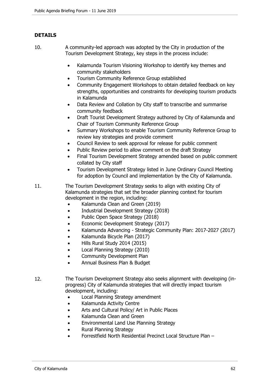# **DETAILS**

- 10. A community-led approach was adopted by the City in production of the Tourism Development Strategy, key steps in the process include:
	- Kalamunda Tourism Visioning Workshop to identify key themes and community stakeholders
	- Tourism Community Reference Group established
	- Community Engagement Workshops to obtain detailed feedback on key strengths, opportunities and constraints for developing tourism products in Kalamunda
	- Data Review and Collation by City staff to transcribe and summarise community feedback
	- Draft Tourist Development Strategy authored by City of Kalamunda and Chair of Tourism Community Reference Group
	- Summary Workshops to enable Tourism Community Reference Group to review key strategies and provide comment
	- Council Review to seek approval for release for public comment
	- Public Review period to allow comment on the draft Strategy
	- Final Tourism Development Strategy amended based on public comment collated by City staff
	- Tourism Development Strategy listed in June Ordinary Council Meeting for adoption by Council and implementation by the City of Kalamunda.

11. The Tourism Development Strategy seeks to align with existing City of Kalamunda strategies that set the broader planning context for tourism development in the region, including:

- Kalamunda Clean and Green (2019)
- Industrial Development Strategy (2018)
- Public Open Space Strategy (2018)
- Economic Development Strategy (2017)
- Kalamunda Advancing Strategic Community Plan: 2017-2027 (2017)
- Kalamunda Bicycle Plan (2017)
- Hills Rural Study 2014 (2015)
- Local Planning Strategy (2010)
- Community Development Plan
- Annual Business Plan & Budget
- 12. The Tourism Development Strategy also seeks alignment with developing (inprogress) City of Kalamunda strategies that will directly impact tourism development, including:
	- Local Planning Strategy amendment
	- Kalamunda Activity Centre
	- Arts and Cultural Policy/ Art in Public Places
	- Kalamunda Clean and Green
	- Environmental Land Use Planning Strategy
	- Rural Planning Strategy
	- Forrestfield North Residential Precinct Local Structure Plan –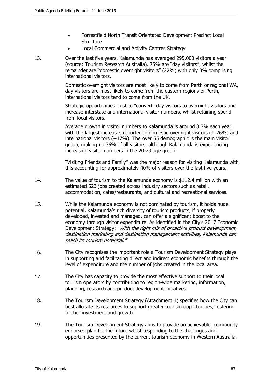- Forrestfield North Transit Orientated Development Precinct Local **Structure**
- Local Commercial and Activity Centres Strategy
- 13. Over the last five years, Kalamunda has averaged 295,000 visitors a year (source: Tourism Research Australia). 75% are "day visitors", whilst the remainder are "domestic overnight visitors" (22%) with only 3% comprising international visitors.

Domestic overnight visitors are most likely to come from Perth or regional WA, day visitors are most likely to come from the eastern regions of Perth, international visitors tend to come from the UK.

Strategic opportunities exist to "convert" day visitors to overnight visitors and increase interstate and international visitor numbers, whilst retaining spend from local visitors.

Average growth in visitor numbers to Kalamunda is around 8.7% each year, with the largest increases reported in domestic overnight visitors (+ 26%) and international visitors (+17%). The over 55 demographic is the main visitor group, making up 36% of all visitors, although Kalamunda is experiencing increasing visitor numbers in the 20-29 age group.

"Visiting Friends and Family" was the major reason for visiting Kalamunda with this accounting for approximately 40% of visitors over the last five years.

- 14. The value of tourism to the Kalamunda economy is \$112.4 million with an estimated 523 jobs created across industry sectors such as retail, accommodation, cafes/restaurants, and cultural and recreational services.
- 15. While the Kalamunda economy is not dominated by tourism, it holds huge potential. Kalamunda's rich diversity of tourism products, if properly developed, invested and managed, can offer a significant boost to the economy through visitor expenditure. As identified in the City's 2017 Economic Development Strategy: "With the right mix of proactive product development, destination marketing and destination management activities, Kalamunda can reach its tourism potential."
- 16. The City recognises the important role a Tourism Development Strategy plays in supporting and facilitating direct and indirect economic benefits through the level of expenditure and the number of jobs created in the local area.
- 17. The City has capacity to provide the most effective support to their local tourism operators by contributing to region-wide marketing, information, planning, research and product development initiatives.
- 18. The Tourism Development Strategy (Attachment 1) specifies how the City can best allocate its resources to support greater tourism opportunities, fostering further investment and growth.
- 19. The Tourism Development Strategy aims to provide an achievable, community endorsed plan for the future whilst responding to the challenges and opportunities presented by the current tourism economy in Western Australia.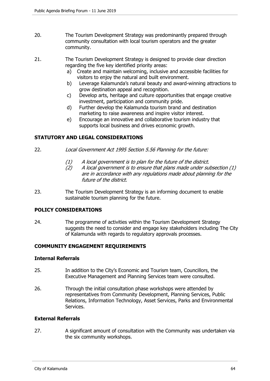- 20. The Tourism Development Strategy was predominantly prepared through community consultation with local tourism operators and the greater community.
- 21. The Tourism Development Strategy is designed to provide clear direction regarding the five key identified priority areas:
	- a) Create and maintain welcoming, inclusive and accessible facilities for visitors to enjoy the natural and built environment.
	- b) Leverage Kalamunda's natural beauty and award-winning attractions to grow destination appeal and recognition.
	- c) Develop arts, heritage and culture opportunities that engage creative investment, participation and community pride.
	- d) Further develop the Kalamunda tourism brand and destination marketing to raise awareness and inspire visitor interest.
	- e) Encourage an innovative and collaborative tourism industry that supports local business and drives economic growth.

# **STATUTORY AND LEGAL CONSIDERATIONS**

- 22. Local Government Act 1995 Section 5.56 Planning for the future:
	- (1) A local government is to plan for the future of the district.
	- (2) A local government is to ensure that plans made under subsection (1) are in accordance with any regulations made about planning for the future of the district.
- 23. The Tourism Development Strategy is an informing document to enable sustainable tourism planning for the future.

# **POLICY CONSIDERATIONS**

24. The programme of activities within the Tourism Development Strategy suggests the need to consider and engage key stakeholders including The City of Kalamunda with regards to regulatory approvals processes.

# **COMMUNITY ENGAGEMENT REQUIREMENTS**

## **Internal Referrals**

- 25. In addition to the City's Economic and Tourism team, Councillors, the Executive Management and Planning Services team were consulted.
- 26. Through the initial consultation phase workshops were attended by representatives from Community Development, Planning Services, Public Relations, Information Technology, Asset Services, Parks and Environmental Services.

## **External Referrals**

27. A significant amount of consultation with the Community was undertaken via the six community workshops.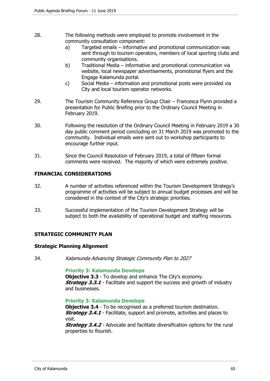- 28. The following methods were employed to promote involvement in the community consultation component:
	- a) Targeted emails informative and promotional communication was sent through to tourism operators, members of local sporting clubs and community organisations.
	- b) Traditional Media informative and promotional communication via website, local newspaper advertisements, promotional flyers and the Engage Kalamunda portal.
	- c) Social Media information and promotional posts were provided via City and local tourism operator networks.
- 29. The Tourism Community Reference Group Chair Francesca Flynn provided a presentation for Public Briefing prior to the Ordinary Council Meeting in February 2019.
- 30. Following the resolution of the Ordinary Council Meeting in February 2019 a 30 day public comment period concluding on 31 March 2019 was promoted to the community. Individual emails were sent out to workshop participants to encourage further input.
- 31. Since the Council Resolution of February 2019, a total of fifteen formal comments were received. The majority of which were extremely positive.

# **FINANCIAL CONSIDERATIONS**

- 32. A number of activities referenced within the Tourism Development Strategy's programme of activities will be subject to annual budget processes and will be considered in the context of the City's strategic priorities.
- 33. Successful implementation of the Tourism Development Strategy will be subject to both the availability of operational budget and staffing resources.

# **STRATEGIC COMMUNITY PLAN**

## **Strategic Planning Alignment**

34. Kalamunda Advancing Strategic Community Plan to 2027

## **Priority 3: Kalamunda Develops**

**Objective 3.3** - To develop and enhance The City's economy. **Strategy 3.3.1** - Facilitate and support the success and growth of industry and businesses.

## **Priority 3: Kalamunda Develops**

**Objective 3.4** - To be recognised as a preferred tourism destination. **Strategy 3.4.1** - Facilitate, support and promote, activities and places to visit.

**Strategy 3.4.2** - Advocate and facilitate diversification options for the rural properties to flourish.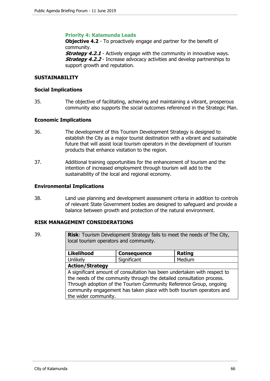## **Priority 4: Kalamunda Leads**

**Objective 4.2** - To proactively engage and partner for the benefit of community.

**Strategy 4.2.1** - Actively engage with the community in innovative ways. **Strategy 4.2.2** - Increase advocacy activities and develop partnerships to support growth and reputation.

## **SUSTAINABILITY**

#### **Social Implications**

35. The objective of facilitating, achieving and maintaining a vibrant, prosperous community also supports the social outcomes referenced in the Strategic Plan.

#### **Economic Implications**

- 36. The development of this Tourism Development Strategy is designed to establish the City as a major tourist destination with a vibrant and sustainable future that will assist local tourism operators in the development of tourism products that enhance visitation to the region.
- 37. Additional training opportunities for the enhancement of tourism and the intention of increased employment through tourism will add to the sustainability of the local and regional economy.

#### **Environmental Implications**

38. Land use planning and development assessment criteria in addition to controls of relevant State Government bodies are designed to safeguard and provide a balance between growth and protection of the natural environment.

#### **RISK MANAGEMENT CONSIDERATIONS**

39. **Risk**: Tourism Development Strategy fails to meet the needs of The City, local tourism operators and community.

| <b>Likelihood</b>                                                                                                                                                                                                                                                                                                       | <b>Consequence</b> | <b>Rating</b> |  |  |  |
|-------------------------------------------------------------------------------------------------------------------------------------------------------------------------------------------------------------------------------------------------------------------------------------------------------------------------|--------------------|---------------|--|--|--|
| Unlikely                                                                                                                                                                                                                                                                                                                | Significant        | Medium        |  |  |  |
| <b>Action/Strategy</b>                                                                                                                                                                                                                                                                                                  |                    |               |  |  |  |
| A significant amount of consultation has been undertaken with respect to<br>the needs of the community through the detailed consultation process.<br>Through adoption of the Tourism Community Reference Group, ongoing<br>community engagement has taken place with both tourism operators and<br>the wider community. |                    |               |  |  |  |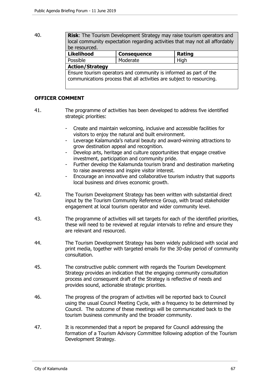40. **Risk**: The Tourism Development Strategy may raise tourism operators and local community expectation regarding activities that may not all affordably be resourced.

| <b>Likelihood</b>                                                                                                                          | <b>Consequence</b> | <b>Rating</b> |  |  |
|--------------------------------------------------------------------------------------------------------------------------------------------|--------------------|---------------|--|--|
| Possible                                                                                                                                   | Moderate           | High          |  |  |
| <b>Action/Strategy</b>                                                                                                                     |                    |               |  |  |
| Ensure tourism operators and community is informed as part of the<br>communications process that all activities are subject to resourcing. |                    |               |  |  |

## **OFFICER COMMENT**

- 41. The programme of activities has been developed to address five identified strategic priorities:
	- Create and maintain welcoming, inclusive and accessible facilities for visitors to enjoy the natural and built environment.
	- Leverage Kalamunda's natural beauty and award-winning attractions to grow destination appeal and recognition.
	- Develop arts, heritage and culture opportunities that engage creative investment, participation and community pride.
	- Further develop the Kalamunda tourism brand and destination marketing to raise awareness and inspire visitor interest.
	- Encourage an innovative and collaborative tourism industry that supports local business and drives economic growth.
- 42. The Tourism Development Strategy has been written with substantial direct input by the Tourism Community Reference Group, with broad stakeholder engagement at local tourism operator and wider community level.
- 43. The programme of activities will set targets for each of the identified priorities, these will need to be reviewed at regular intervals to refine and ensure they are relevant and resourced.
- 44. The Tourism Development Strategy has been widely publicised with social and print media, together with targeted emails for the 30-day period of community consultation.
- 45. The constructive public comment with regards the Tourism Development Strategy provides an indication that the engaging community consultation process and consequent draft of the Strategy is reflective of needs and provides sound, actionable strategic priorities.
- 46. The progress of the program of activities will be reported back to Council using the usual Council Meeting Cycle, with a frequency to be determined by Council. The outcome of these meetings will be communicated back to the tourism business community and the broader community.
- 47. It is recommended that a report be prepared for Council addressing the formation of a Tourism Advisory Committee following adoption of the Tourism Development Strategy.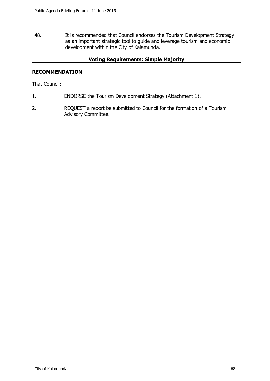48. It is recommended that Council endorses the Tourism Development Strategy as an important strategic tool to guide and leverage tourism and economic development within the City of Kalamunda.

# **Voting Requirements: Simple Majority**

## **RECOMMENDATION**

That Council:

- 1. ENDORSE the Tourism Development Strategy (Attachment 1).
- 2. REQUEST a report be submitted to Council for the formation of a Tourism Advisory Committee.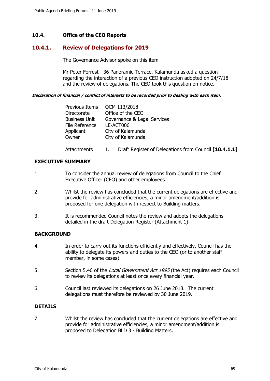## **10.4. Office of the CEO Reports**

# **10.4.1. Review of Delegations for 2019**

The Governance Advisor spoke on this item

Mr Peter Forrest - 36 Panoramic Terrace, Kalamunda asked a question regarding the interaction of a previous CEO instruction adopted on 24/7/18 and the review of delegations. The CEO took this question on notice.

#### **Declaration of financial / conflict of interests to be recorded prior to dealing with each item.**

| Previous Items       | OCM 113/2018                                          |
|----------------------|-------------------------------------------------------|
| Directorate          | Office of the CEO                                     |
| <b>Business Unit</b> | Governance & Legal Services                           |
| File Reference       | LE-ACT006                                             |
| Applicant            | City of Kalamunda                                     |
| Owner                | City of Kalamunda                                     |
| Attachments          | Draft Register of Delegations from Council [10.4.1.1] |

## **EXECUTIVE SUMMARY**

- 1. To consider the annual review of delegations from Council to the Chief Executive Officer (CEO) and other employees.
- 2. Whilst the review has concluded that the current delegations are effective and provide for administrative efficiencies, a minor amendment/addition is proposed for one delegation with respect to Building matters.
- 3. It is recommended Council notes the review and adopts the delegations detailed in the draft Delegation Register (Attachment 1)

## **BACKGROUND**

- 4. In order to carry out its functions efficiently and effectively, Council has the ability to delegate its powers and duties to the CEO (or to another staff member, in some cases).
- 5. Section 5.46 of the Local Government Act 1995 (the Act) requires each Council to review its delegations at least once every financial year.
- 6. Council last reviewed its delegations on 26 June 2018. The current delegations must therefore be reviewed by 30 June 2019.

## **DETAILS**

7. Whilst the review has concluded that the current delegations are effective and provide for administrative efficiencies, a minor amendment/addition is proposed to Delegation BLD 3 - Building Matters.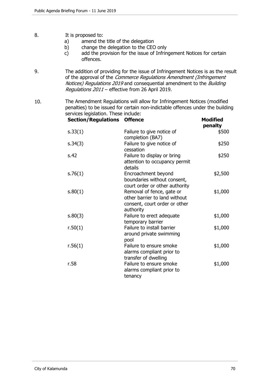- 8. It is proposed to:
	- a) amend the title of the delegation
	- b) change the delegation to the CEO only
	- c) add the provision for the issue of Infringement Notices for certain offences.
- 9. The addition of providing for the issue of Infringement Notices is as the result of the approval of the Commerce Regulations Amendment (Infringement Notices) Regulations 2019 and consequential amendment to the Building Regulations 2011 – effective from 26 April 2019.
- 10. The Amendment Regulations will allow for Infringement Notices (modified penalties) to be issued for certain non-indictable offences under the building services legislation. These include:

| <b>Section/Regulations Offence</b> |                                                                                                          | <b>Modified</b><br>penalty |
|------------------------------------|----------------------------------------------------------------------------------------------------------|----------------------------|
| s.33(1)                            | Failure to give notice of<br>completion (BA7)                                                            | \$500                      |
| s.34(3)                            | Failure to give notice of<br>cessation                                                                   | \$250                      |
| s.42                               | Failure to display or bring<br>attention to occupancy permit<br>details                                  | \$250                      |
| s.76(1)                            | Encroachment beyond<br>boundaries without consent,<br>court order or other authority                     | \$2,500                    |
| s.80(1)                            | Removal of fence, gate or<br>other barrier to land without<br>consent, court order or other<br>authority | \$1,000                    |
| s.80(3)                            | Failure to erect adequate<br>temporary barrier                                                           | \$1,000                    |
| r.50(1)                            | Failure to install barrier<br>around private swimming<br>pool                                            | \$1,000                    |
| r.56(1)                            | Failure to ensure smoke<br>alarms compliant prior to<br>transfer of dwelling                             | \$1,000                    |
| r.58                               | Failure to ensure smoke<br>alarms compliant prior to<br>tenancy                                          | \$1,000                    |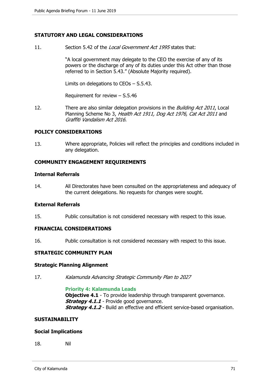## **STATUTORY AND LEGAL CONSIDERATIONS**

11. Section 5.42 of the Local Government Act 1995 states that:

"A local government may delegate to the CEO the exercise of any of its powers or the discharge of any of its duties under this Act other than those referred to in Section 5.43." (Absolute Majority required).

Limits on delegations to CEOs – S.5.43.

Requirement for review – S.5.46

12. There are also similar delegation provisions in the *Building Act 2011*, Local Planning Scheme No 3, Health Act 1911, Dog Act 1976, Cat Act 2011 and Graffiti Vandalism Act 2016.

## **POLICY CONSIDERATIONS**

13. Where appropriate, Policies will reflect the principles and conditions included in any delegation.

#### **COMMUNITY ENGAGEMENT REQUIREMENTS**

#### **Internal Referrals**

14. All Directorates have been consulted on the appropriateness and adequacy of the current delegations. No requests for changes were sought.

#### **External Referrals**

15. Public consultation is not considered necessary with respect to this issue.

## **FINANCIAL CONSIDERATIONS**

16. Public consultation is not considered necessary with respect to this issue.

## **STRATEGIC COMMUNITY PLAN**

#### **Strategic Planning Alignment**

17. Kalamunda Advancing Strategic Community Plan to 2027

#### **Priority 4: Kalamunda Leads**

**Objective 4.1** - To provide leadership through transparent governance. **Strategy 4.1.1** - Provide good governance. **Strategy 4.1.2** - Build an effective and efficient service-based organisation.

#### **SUSTAINABILITY**

#### **Social Implications**

18. Nil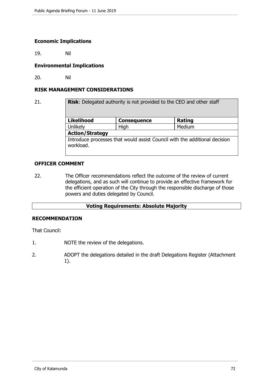## **Economic Implications**

19. Nil

## **Environmental Implications**

20. Nil

## **RISK MANAGEMENT CONSIDERATIONS**

21. **Risk:** Delegated authority is not provided to the CEO and other staff Likelihood Consequence **Rating** Unlikely **High Medium Action/Strategy**  Introduce processes that would assist Council with the additional decision workload.

## **OFFICER COMMENT**

22. The Officer recommendations reflect the outcome of the review of current delegations, and as such will continue to provide an effective framework for the efficient operation of the City through the responsible discharge of those powers and duties delegated by Council.

## **Voting Requirements: Absolute Majority**

## **RECOMMENDATION**

That Council:

- 1. NOTE the review of the delegations.
- 2. ADOPT the delegations detailed in the draft Delegations Register (Attachment 1).